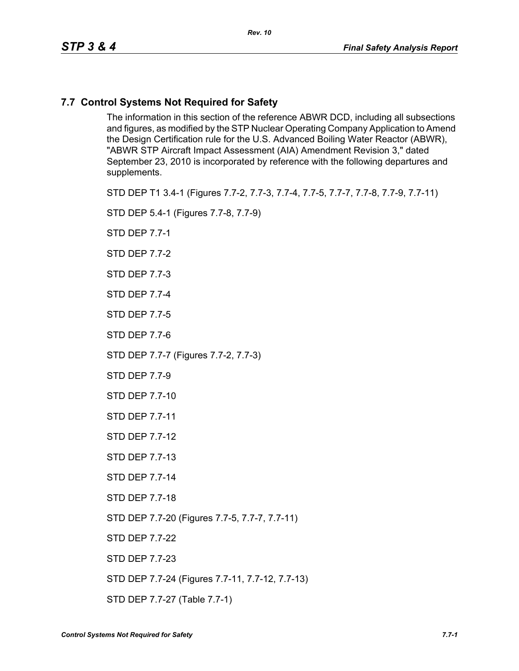## **7.7 Control Systems Not Required for Safety**

The information in this section of the reference ABWR DCD, including all subsections and figures, as modified by the STP Nuclear Operating Company Application to Amend the Design Certification rule for the U.S. Advanced Boiling Water Reactor (ABWR), "ABWR STP Aircraft Impact Assessment (AIA) Amendment Revision 3," dated September 23, 2010 is incorporated by reference with the following departures and supplements.

STD DEP T1 3.4-1 (Figures 7.7-2, 7.7-3, 7.7-4, 7.7-5, 7.7-7, 7.7-8, 7.7-9, 7.7-11)

STD DEP 5.4-1 (Figures 7.7-8, 7.7-9)

STD DEP 7.7-1

STD DEP 7.7-2

STD DEP 7.7-3

STD DEP 7.7-4

STD DEP 7.7-5

STD DEP 7.7-6

STD DEP 7.7-7 (Figures 7.7-2, 7.7-3)

STD DEP 7.7-9

STD DEP 7.7-10

STD DEP 7.7-11

STD DEP 7.7-12

STD DEP 7.7-13

STD DEP 7.7-14

STD DEP 7.7-18

STD DEP 7.7-20 (Figures 7.7-5, 7.7-7, 7.7-11)

STD DEP 7.7-22

STD DEP 7.7-23

STD DEP 7.7-24 (Figures 7.7-11, 7.7-12, 7.7-13)

STD DEP 7.7-27 (Table 7.7-1)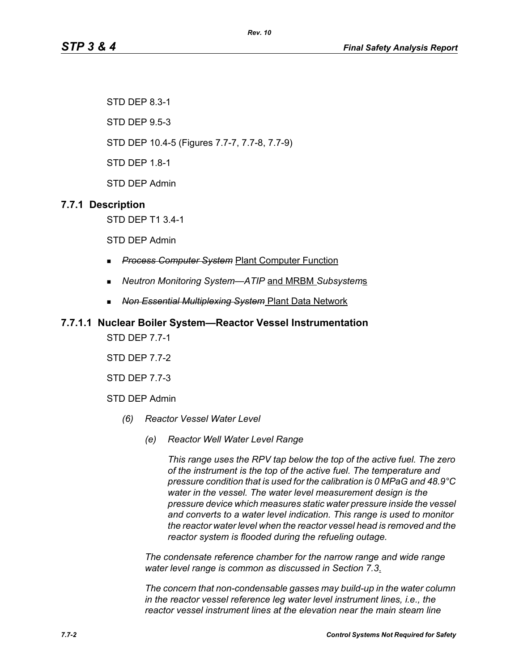STD DEP 8.3-1

STD DEP 9.5-3

STD DEP 10.4-5 (Figures 7.7-7, 7.7-8, 7.7-9)

STD DEP 1.8-1

STD DEP Admin

# **7.7.1 Description**

STD DEP T1 3.4-1

STD DEP Admin

- *Process Computer System* Plant Computer Function
- *Neutron Monitoring System—ATIP* and MRBM *Subsystem*s
- *Non Essential Multiplexing System* Plant Data Network

## **7.7.1.1 Nuclear Boiler System—Reactor Vessel Instrumentation**

STD DEP 7.7-1

STD DEP 7.7-2

STD DEP 7.7-3

STD DEP Admin

- *(6) Reactor Vessel Water Level*
	- *(e) Reactor Well Water Level Range*

*This range uses the RPV tap below the top of the active fuel. The zero of the instrument is the top of the active fuel. The temperature and pressure condition that is used for the calibration is 0 MPaG and 48.9°C water in the vessel. The water level measurement design is the pressure device which measures static water pressure inside the vessel and converts to a water level indication. This range is used to monitor the reactor water level when the reactor vessel head is removed and the reactor system is flooded during the refueling outage.*

*The condensate reference chamber for the narrow range and wide range water level range is common as discussed in Section 7.3*.

*The concern that non-condensable gasses may build-up in the water column in the reactor vessel reference leg water level instrument lines, i.e., the reactor vessel instrument lines at the elevation near the main steam line*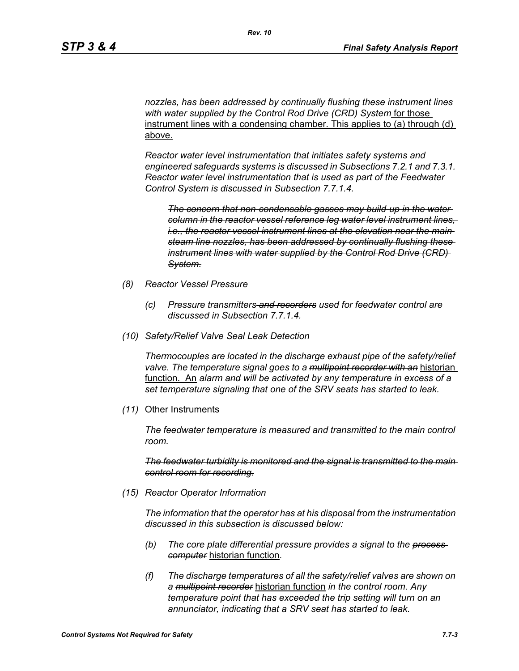*nozzles, has been addressed by continually flushing these instrument lines with water supplied by the Control Rod Drive (CRD) System* for those instrument lines with a condensing chamber. This applies to (a) through (d) above.

*Reactor water level instrumentation that initiates safety systems and engineered safeguards systems is discussed in Subsections 7.2.1 and 7.3.1. Reactor water level instrumentation that is used as part of the Feedwater Control System is discussed in Subsection 7.7.1.4.*

*The concern that non-condensable gasses may build-up in the water column in the reactor vessel reference leg water level instrument lines, i.e., the reactor vessel instrument lines at the elevation near the main steam line nozzles, has been addressed by continually flushing these instrument lines with water supplied by the Control Rod Drive (CRD) System.*

- *(8) Reactor Vessel Pressure*
	- *(c) Pressure transmitters and recorders used for feedwater control are discussed in Subsection 7.7.1.4.*
- *(10) Safety/Relief Valve Seal Leak Detection*

*Thermocouples are located in the discharge exhaust pipe of the safety/relief valve. The temperature signal goes to a multipoint recorder with an* historian function. An *alarm and will be activated by any temperature in excess of a set temperature signaling that one of the SRV seats has started to leak.*

*(11)* Other Instruments

*The feedwater temperature is measured and transmitted to the main control room.*

*The feedwater turbidity is monitored and the signal is transmitted to the main control room for recording.*

*(15) Reactor Operator Information*

*The information that the operator has at his disposal from the instrumentation discussed in this subsection is discussed below:*

- *(b) The core plate differential pressure provides a signal to the process computer* historian function*.*
- *(f) The discharge temperatures of all the safety/relief valves are shown on a multipoint recorder* historian function *in the control room. Any temperature point that has exceeded the trip setting will turn on an annunciator, indicating that a SRV seat has started to leak.*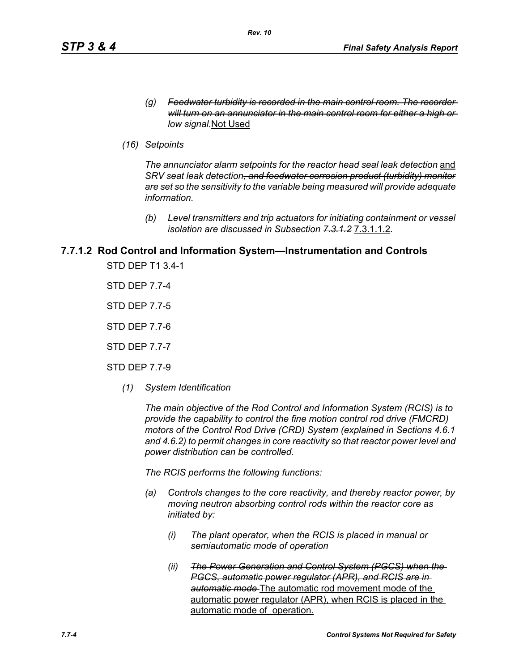- *(g) Feedwater turbidity is recorded in the main control room. The recorder will turn on an annunciator in the main control room for either a high or low signal.*Not Used
- *(16) Setpoints*

The annunciator alarm setpoints for the reactor head seal leak detection and *SRV seat leak detection, and feedwater corrosion product (turbidity) monitor are set so the sensitivity to the variable being measured will provide adequate information.*

*(b) Level transmitters and trip actuators for initiating containment or vessel isolation are discussed in Subsection 7.3.1.2* 7.3.1.1.2*.*

## **7.7.1.2 Rod Control and Information System—Instrumentation and Controls**

STD DEP T1 3.4-1

STD DEP 7.7-4

STD DEP 7.7-5

STD DEP 7.7-6

STD DEP 7.7-7

STD DEP 7.7-9

*(1) System Identification*

*The main objective of the Rod Control and Information System (RCIS) is to provide the capability to control the fine motion control rod drive (FMCRD) motors of the Control Rod Drive (CRD) System (explained in Sections 4.6.1 and 4.6.2) to permit changes in core reactivity so that reactor power level and power distribution can be controlled.* 

*The RCIS performs the following functions:*

- *(a) Controls changes to the core reactivity, and thereby reactor power, by moving neutron absorbing control rods within the reactor core as initiated by:*
	- *(i) The plant operator, when the RCIS is placed in manual or semiautomatic mode of operation*
	- *(ii) The Power Generation and Control System (PGCS) when the PGCS, automatic power regulator (APR), and RCIS are in automatic mode* The automatic rod movement mode of the automatic power regulator (APR), when RCIS is placed in the automatic mode of operation.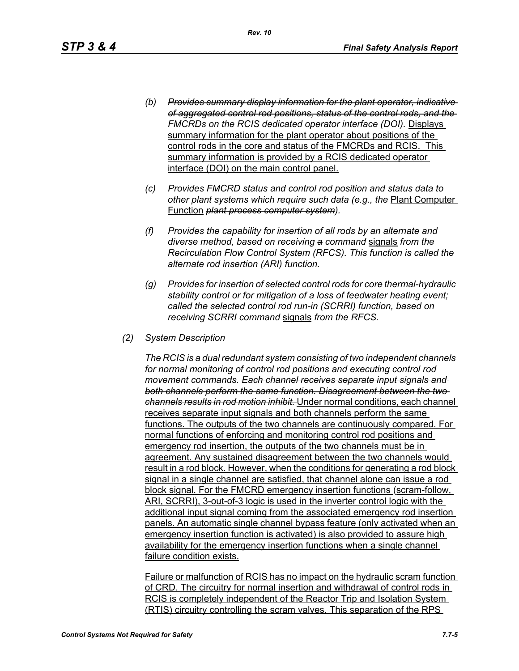- *(b) Provides summary display information for the plant operator, indicative of aggregated control rod positions, status of the control rods, and the FMCRDs on the RCIS dedicated operator interface (DOI).* Displays summary information for the plant operator about positions of the control rods in the core and status of the FMCRDs and RCIS. This summary information is provided by a RCIS dedicated operator interface (DOI) on the main control panel.
- *(c) Provides FMCRD status and control rod position and status data to other plant systems which require such data (e.g., the* Plant Computer Function *plant process computer system).*
- *(f) Provides the capability for insertion of all rods by an alternate and diverse method, based on receiving a command* signals *from the Recirculation Flow Control System (RFCS). This function is called the alternate rod insertion (ARI) function.*
- *(g) Provides for insertion of selected control rods for core thermal-hydraulic stability control or for mitigation of a loss of feedwater heating event; called the selected control rod run-in (SCRRI) function, based on receiving SCRRI command* signals *from the RFCS.*
- *(2) System Description*

*The RCIS is a dual redundant system consisting of two independent channels for normal monitoring of control rod positions and executing control rod movement commands. Each channel receives separate input signals and both channels perform the same function. Disagreement between the two channels results in rod motion inhibit.* Under normal conditions, each channel receives separate input signals and both channels perform the same functions. The outputs of the two channels are continuously compared. For normal functions of enforcing and monitoring control rod positions and emergency rod insertion, the outputs of the two channels must be in agreement. Any sustained disagreement between the two channels would result in a rod block. However, when the conditions for generating a rod block signal in a single channel are satisfied, that channel alone can issue a rod block signal. For the FMCRD emergency insertion functions (scram-follow, ARI, SCRRI), 3-out-of-3 logic is used in the inverter control logic with the additional input signal coming from the associated emergency rod insertion panels. An automatic single channel bypass feature (only activated when an emergency insertion function is activated) is also provided to assure high availability for the emergency insertion functions when a single channel failure condition exists.

Failure or malfunction of RCIS has no impact on the hydraulic scram function of CRD. The circuitry for normal insertion and withdrawal of control rods in RCIS is completely independent of the Reactor Trip and Isolation System (RTIS) circuitry controlling the scram valves. This separation of the RPS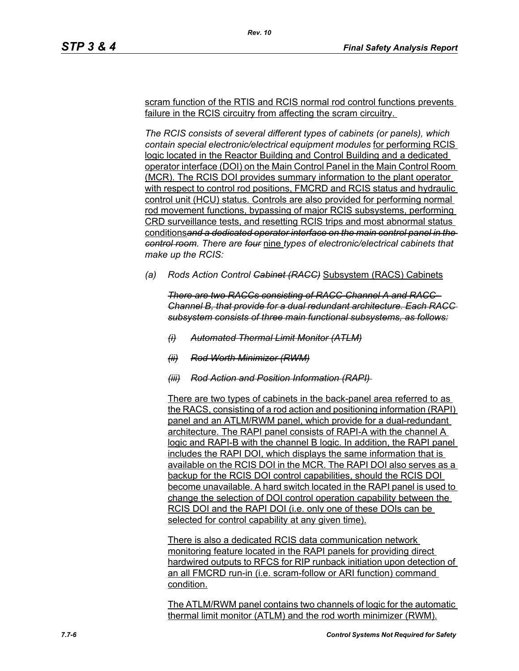scram function of the RTIS and RCIS normal rod control functions prevents failure in the RCIS circuitry from affecting the scram circuitry.

*Rev. 10*

*The RCIS consists of several different types of cabinets (or panels), which contain special electronic/electrical equipment modules* for performing RCIS logic located in the Reactor Building and Control Building and a dedicated operator interface (DOI) on the Main Control Panel in the Main Control Room (MCR). The RCIS DOI provides summary information to the plant operator with respect to control rod positions, FMCRD and RCIS status and hydraulic control unit (HCU) status. Controls are also provided for performing normal rod movement functions, bypassing of major RCIS subsystems, performing CRD surveillance tests, and resetting RCIS trips and most abnormal status conditions*and a dedicated operator interface on the main control panel in the control room. There are four* nine *types of electronic/electrical cabinets that make up the RCIS:*

*(a) Rods Action Control Cabinet (RACC)* Subsystem (RACS) Cabinets

*There are two RACCs consisting of RACC-Channel A and RACC-Channel B, that provide for a dual redundant architecture. Each RACC subsystem consists of three main functional subsystems, as follows:*

- *(i) Automated Thermal Limit Monitor (ATLM)*
- *(ii) Rod Worth Minimizer (RWM)*
- *(iii) Rod Action and Position Information (RAPI)*

There are two types of cabinets in the back-panel area referred to as the RACS, consisting of a rod action and positioning information (RAPI) panel and an ATLM/RWM panel, which provide for a dual-redundant architecture. The RAPI panel consists of RAPI-A with the channel A logic and RAPI-B with the channel B logic. In addition, the RAPI panel includes the RAPI DOI, which displays the same information that is available on the RCIS DOI in the MCR. The RAPI DOI also serves as a backup for the RCIS DOI control capabilities, should the RCIS DOI become unavailable. A hard switch located in the RAPI panel is used to change the selection of DOI control operation capability between the RCIS DOI and the RAPI DOI (i.e. only one of these DOIs can be selected for control capability at any given time).

There is also a dedicated RCIS data communication network monitoring feature located in the RAPI panels for providing direct hardwired outputs to RFCS for RIP runback initiation upon detection of an all FMCRD run-in (i.e. scram-follow or ARI function) command condition.

The ATLM/RWM panel contains two channels of logic for the automatic thermal limit monitor (ATLM) and the rod worth minimizer (RWM).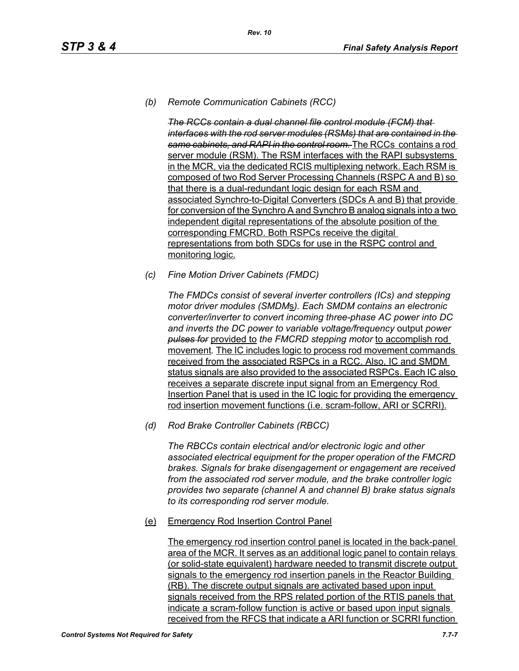## *(b) Remote Communication Cabinets (RCC)*

*The RCCs contain a dual channel file control module (FCM) that interfaces with the rod server modules (RSMs) that are contained in the same cabinets, and RAPI in the control room.* The RCCs contains a rod server module (RSM). The RSM interfaces with the RAPI subsystems in the MCR, via the dedicated RCIS multiplexing network. Each RSM is composed of two Rod Server Processing Channels (RSPC A and B) so that there is a dual-redundant logic design for each RSM and associated Synchro-to-Digital Converters (SDCs A and B) that provide for conversion of the Synchro A and Synchro B analog signals into a two independent digital representations of the absolute position of the corresponding FMCRD. Both RSPCs receive the digital representations from both SDCs for use in the RSPC control and monitoring logic.

*(c) Fine Motion Driver Cabinets (FMDC)* 

*The FMDCs consist of several inverter controllers (ICs) and stepping motor driver modules (SMDM*s*). Each SMDM contains an electronic converter/inverter to convert incoming three-phase AC power into DC and inverts the DC power to variable voltage/frequency* output *power pulses for* provided to *the FMCRD stepping motor* to accomplish rod movement*.* The IC includes logic to process rod movement commands received from the associated RSPCs in a RCC. Also, IC and SMDM status signals are also provided to the associated RSPCs. Each IC also receives a separate discrete input signal from an Emergency Rod Insertion Panel that is used in the IC logic for providing the emergency rod insertion movement functions (i.e. scram-follow, ARI or SCRRI).

*(d) Rod Brake Controller Cabinets (RBCC)*

*The RBCCs contain electrical and/or electronic logic and other associated electrical equipment for the proper operation of the FMCRD brakes. Signals for brake disengagement or engagement are received from the associated rod server module, and the brake controller logic provides two separate (channel A and channel B) brake status signals to its corresponding rod server module.*

(e) Emergency Rod Insertion Control Panel

The emergency rod insertion control panel is located in the back-panel area of the MCR. It serves as an additional logic panel to contain relays (or solid-state equivalent) hardware needed to transmit discrete output signals to the emergency rod insertion panels in the Reactor Building (RB). The discrete output signals are activated based upon input signals received from the RPS related portion of the RTIS panels that indicate a scram-follow function is active or based upon input signals received from the RFCS that indicate a ARI function or SCRRI function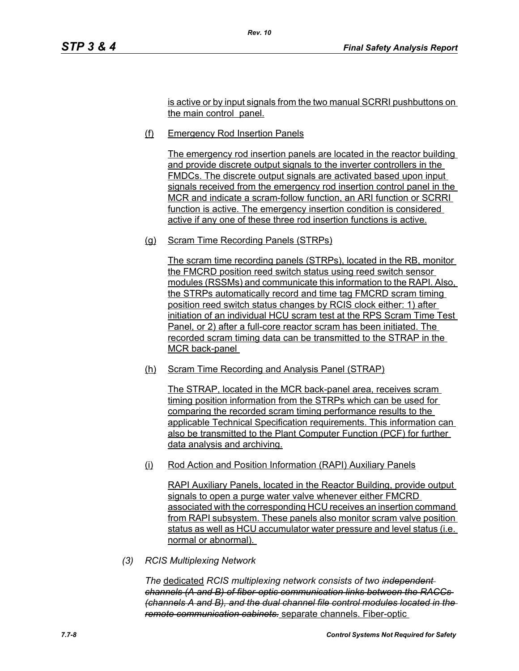is active or by input signals from the two manual SCRRI pushbuttons on the main control panel.

(f) Emergency Rod Insertion Panels

*Rev. 10*

The emergency rod insertion panels are located in the reactor building and provide discrete output signals to the inverter controllers in the FMDCs. The discrete output signals are activated based upon input signals received from the emergency rod insertion control panel in the MCR and indicate a scram-follow function, an ARI function or SCRRI function is active. The emergency insertion condition is considered active if any one of these three rod insertion functions is active.

(g) Scram Time Recording Panels (STRPs)

The scram time recording panels (STRPs), located in the RB, monitor the FMCRD position reed switch status using reed switch sensor modules (RSSMs) and communicate this information to the RAPI. Also, the STRPs automatically record and time tag FMCRD scram timing position reed switch status changes by RCIS clock either: 1) after initiation of an individual HCU scram test at the RPS Scram Time Test Panel, or 2) after a full-core reactor scram has been initiated. The recorded scram timing data can be transmitted to the STRAP in the MCR back-panel

(h) Scram Time Recording and Analysis Panel (STRAP)

The STRAP, located in the MCR back-panel area, receives scram timing position information from the STRPs which can be used for comparing the recorded scram timing performance results to the applicable Technical Specification requirements. This information can also be transmitted to the Plant Computer Function (PCF) for further data analysis and archiving.

(i) Rod Action and Position Information (RAPI) Auxiliary Panels

RAPI Auxiliary Panels, located in the Reactor Building, provide output signals to open a purge water valve whenever either FMCRD associated with the corresponding HCU receives an insertion command from RAPI subsystem. These panels also monitor scram valve position status as well as HCU accumulator water pressure and level status (i.e. normal or abnormal).

*(3) RCIS Multiplexing Network*

*The* dedicated *RCIS multiplexing network consists of two independent channels (A and B) of fiber-optic communication links between the RACCs (channels A and B), and the dual channel file control modules located in the remote communication cabinets.* separate channels. Fiber-optic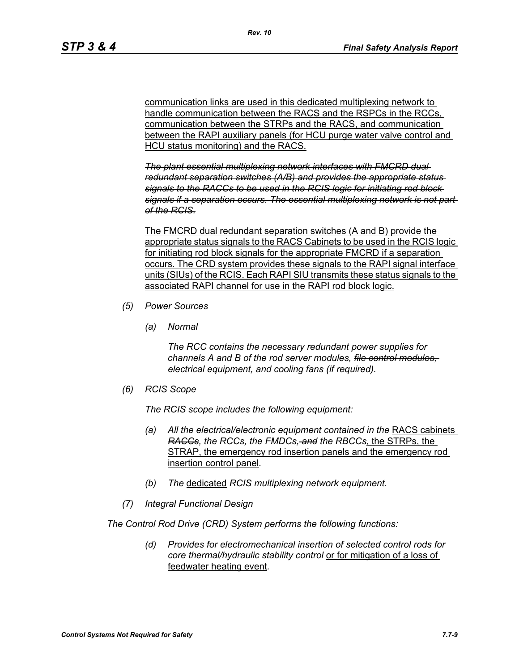communication links are used in this dedicated multiplexing network to handle communication between the RACS and the RSPCs in the RCCs. communication between the STRPs and the RACS, and communication between the RAPI auxiliary panels (for HCU purge water valve control and HCU status monitoring) and the RACS.

*The plant essential multiplexing network interfaces with FMCRD dual redundant separation switches (A/B) and provides the appropriate status signals to the RACCs to be used in the RCIS logic for initiating rod block signals if a separation occurs. The essential multiplexing network is not part of the RCIS.*

The FMCRD dual redundant separation switches (A and B) provide the appropriate status signals to the RACS Cabinets to be used in the RCIS logic for initiating rod block signals for the appropriate FMCRD if a separation occurs. The CRD system provides these signals to the RAPI signal interface units (SIUs) of the RCIS. Each RAPI SIU transmits these status signals to the associated RAPI channel for use in the RAPI rod block logic.

- *(5) Power Sources*
	- *(a) Normal*

*The RCC contains the necessary redundant power supplies for channels A and B of the rod server modules, file control modules, electrical equipment, and cooling fans (if required).*

*(6) RCIS Scope*

*The RCIS scope includes the following equipment:*

- *(a) All the electrical/electronic equipment contained in the* RACS cabinets *RACCs, the RCCs, the FMDCs, and the RBCCs*, the STRPs, the STRAP, the emergency rod insertion panels and the emergency rod insertion control panel*.*
- *(b) The* dedicated *RCIS multiplexing network equipment.*
- *(7) Integral Functional Design*

*The Control Rod Drive (CRD) System performs the following functions:*

*(d) Provides for electromechanical insertion of selected control rods for core thermal/hydraulic stability control* or for mitigation of a loss of feedwater heating event*.*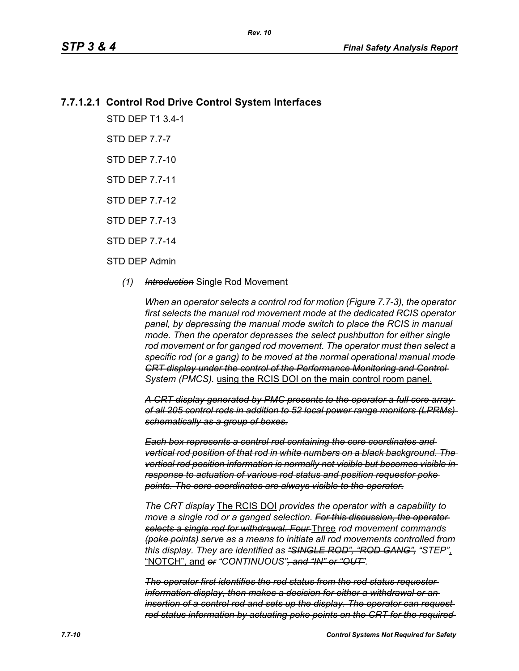# **7.7.1.2.1 Control Rod Drive Control System Interfaces**

STD DEP T1 3.4-1

STD DEP 7.7-7

STD DEP 7.7-10

STD DEP 7.7-11

STD DEP 7.7-12

STD DEP 7.7-13

STD DEP 7.7-14

#### STD DEP Admin

#### *(1) Introduction* Single Rod Movement

*When an operator selects a control rod for motion (Figure 7.7-3), the operator first selects the manual rod movement mode at the dedicated RCIS operator panel, by depressing the manual mode switch to place the RCIS in manual mode. Then the operator depresses the select pushbutton for either single rod movement or for ganged rod movement. The operator must then select a specific rod (or a gang) to be moved at the normal operational manual mode CRT display under the control of the Performance Monitoring and Control System (PMCS).* using the RCIS DOI on the main control room panel.

*A CRT display generated by PMC presents to the operator a full core array of all 205 control rods in addition to 52 local power range monitors (LPRMs) schematically as a group of boxes.*

*Each box represents a control rod containing the core coordinates and vertical rod position of that rod in white numbers on a black background. The vertical rod position information is normally not visible but becomes visible in response to actuation of various rod status and position requestor poke points. The core coordinates are always visible to the operator.*

*The CRT display* The RCIS DOI *provides the operator with a capability to*  move a single rod or a ganged selection. For this discussion, the operator*selects a single rod for withdrawal. Four* Three *rod movement commands (poke points) serve as a means to initiate all rod movements controlled from this display. They are identified as "SINGLE ROD", "ROD GANG", "STEP"*, "NOTCH", and *or "CONTINUOUS", and "IN" or "OUT".*

*The operator first identifies the rod status from the rod status requestor information display, then makes a decision for either a withdrawal or an insertion of a control rod and sets up the display. The operator can request rod status information by actuating poke points on the CRT for the required*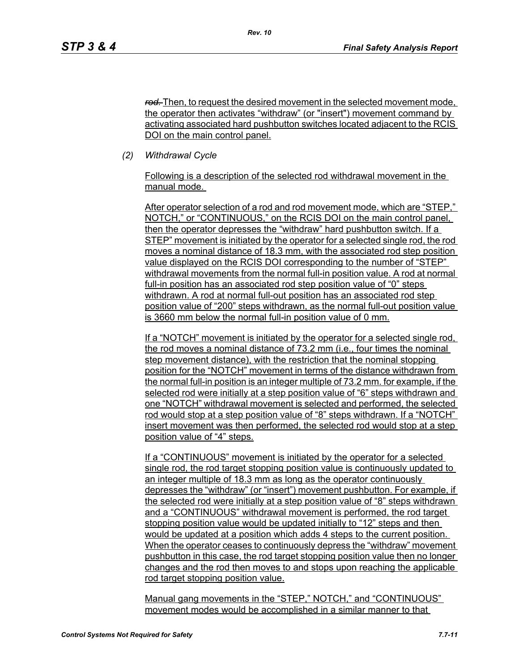*rod.* Then, to request the desired movement in the selected movement mode, the operator then activates "withdraw" (or "insert") movement command by activating associated hard pushbutton switches located adjacent to the RCIS DOI on the main control panel.

*(2) Withdrawal Cycle* 

Following is a description of the selected rod withdrawal movement in the manual mode.

After operator selection of a rod and rod movement mode, which are "STEP," NOTCH," or "CONTINUOUS," on the RCIS DOI on the main control panel, then the operator depresses the "withdraw" hard pushbutton switch. If a STEP" movement is initiated by the operator for a selected single rod, the rod moves a nominal distance of 18.3 mm, with the associated rod step position value displayed on the RCIS DOI corresponding to the number of "STEP" withdrawal movements from the normal full-in position value. A rod at normal full-in position has an associated rod step position value of "0" steps withdrawn. A rod at normal full-out position has an associated rod step position value of "200" steps withdrawn, as the normal full-out position value is 3660 mm below the normal full-in position value of 0 mm.

If a "NOTCH" movement is initiated by the operator for a selected single rod, the rod moves a nominal distance of 73.2 mm (i.e., four times the nominal step movement distance), with the restriction that the nominal stopping position for the "NOTCH" movement in terms of the distance withdrawn from the normal full-in position is an integer multiple of 73.2 mm. for example, if the selected rod were initially at a step position value of "6" steps withdrawn and one "NOTCH" withdrawal movement is selected and performed, the selected rod would stop at a step position value of "8" steps withdrawn. If a "NOTCH" insert movement was then performed, the selected rod would stop at a step position value of "4" steps.

If a "CONTINUOUS" movement is initiated by the operator for a selected single rod, the rod target stopping position value is continuously updated to an integer multiple of 18.3 mm as long as the operator continuously depresses the "withdraw" (or "insert") movement pushbutton. For example, if the selected rod were initially at a step position value of "8" steps withdrawn and a "CONTINUOUS" withdrawal movement is performed, the rod target stopping position value would be updated initially to "12" steps and then would be updated at a position which adds 4 steps to the current position. When the operator ceases to continuously depress the "withdraw" movement pushbutton in this case, the rod target stopping position value then no longer changes and the rod then moves to and stops upon reaching the applicable rod target stopping position value.

Manual gang movements in the "STEP," NOTCH," and "CONTINUOUS" movement modes would be accomplished in a similar manner to that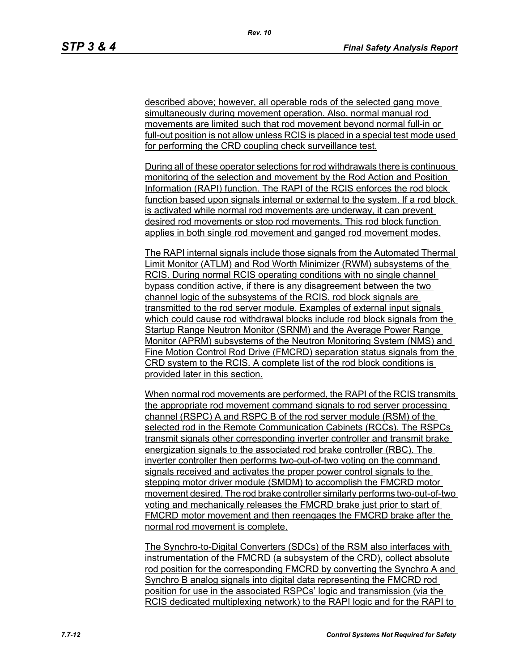described above; however, all operable rods of the selected gang move simultaneously during movement operation. Also, normal manual rod movements are limited such that rod movement beyond normal full-in or full-out position is not allow unless RCIS is placed in a special test mode used for performing the CRD coupling check surveillance test.

During all of these operator selections for rod withdrawals there is continuous monitoring of the selection and movement by the Rod Action and Position Information (RAPI) function. The RAPI of the RCIS enforces the rod block function based upon signals internal or external to the system. If a rod block is activated while normal rod movements are underway, it can prevent desired rod movements or stop rod movements. This rod block function applies in both single rod movement and ganged rod movement modes.

The RAPI internal signals include those signals from the Automated Thermal Limit Monitor (ATLM) and Rod Worth Minimizer (RWM) subsystems of the RCIS. During normal RCIS operating conditions with no single channel bypass condition active, if there is any disagreement between the two channel logic of the subsystems of the RCIS, rod block signals are transmitted to the rod server module. Examples of external input signals which could cause rod withdrawal blocks include rod block signals from the Startup Range Neutron Monitor (SRNM) and the Average Power Range Monitor (APRM) subsystems of the Neutron Monitoring System (NMS) and Fine Motion Control Rod Drive (FMCRD) separation status signals from the CRD system to the RCIS. A complete list of the rod block conditions is provided later in this section.

When normal rod movements are performed, the RAPI of the RCIS transmits the appropriate rod movement command signals to rod server processing channel (RSPC) A and RSPC B of the rod server module (RSM) of the selected rod in the Remote Communication Cabinets (RCCs). The RSPCs transmit signals other corresponding inverter controller and transmit brake energization signals to the associated rod brake controller (RBC). The inverter controller then performs two-out-of-two voting on the command signals received and activates the proper power control signals to the stepping motor driver module (SMDM) to accomplish the FMCRD motor movement desired. The rod brake controller similarly performs two-out-of-two voting and mechanically releases the FMCRD brake just prior to start of FMCRD motor movement and then reengages the FMCRD brake after the normal rod movement is complete.

The Synchro-to-Digital Converters (SDCs) of the RSM also interfaces with instrumentation of the FMCRD (a subsystem of the CRD), collect absolute rod position for the corresponding FMCRD by converting the Synchro A and Synchro B analog signals into digital data representing the FMCRD rod position for use in the associated RSPCs' logic and transmission (via the RCIS dedicated multiplexing network) to the RAPI logic and for the RAPI to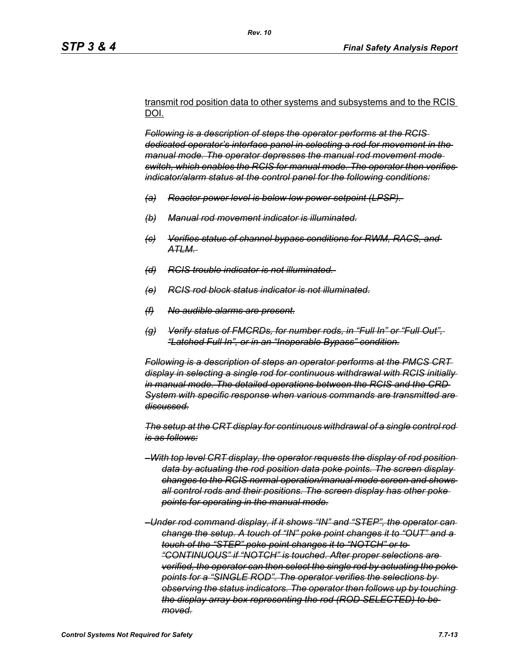transmit rod position data to other systems and subsystems and to the RCIS DOI.

*Following is a description of steps the operator performs at the RCIS dedicated operator's interface panel in selecting a rod for movement in the manual mode. The operator depresses the manual rod movement mode switch, which enables the RCIS for manual mode. The operator then verifies indicator/alarm status at the control panel for the following conditions:*

- *(a) Reactor power level is below low power setpoint (LPSP).*
- *(b) Manual rod movement indicator is illuminated.*
- *(c) Verifies status of channel bypass conditions for RWM, RACS, and ATLM.*
- *(d) RCIS trouble indicator is not illuminated.*
- *(e) RCIS rod block status indicator is not illuminated.*
- *(f) No audible alarms are present.*
- *(g) Verify status of FMCRDs, for number rods, in "Full In" or "Full Out", "Latched Full In", or in an "Inoperable Bypass" condition.*

*Following is a description of steps an operator performs at the PMCS CRT display in selecting a single rod for continuous withdrawal with RCIS initially in manual mode. The detailed operations between the RCIS and the CRD System with specific response when various commands are transmitted are discussed.*

*The setup at the CRT display for continuous withdrawal of a single control rod is as follows:*

- *–With top level CRT display, the operator requests the display of rod position data by actuating the rod position data poke points. The screen display changes to the RCIS normal operation/manual mode screen and shows all control rods and their positions. The screen display has other poke points for operating in the manual mode.*
- *–Under rod command display, if it shows "IN" and "STEP", the operator can change the setup. A touch of "IN" poke point changes it to "OUT" and a touch of the "STEP" poke point changes it to "NOTCH" or to "CONTINUOUS" if "NOTCH" is touched. After proper selections are verified, the operator can then select the single rod by actuating the poke points for a "SINGLE ROD". The operator verifies the selections by observing the status indicators. The operator then follows up by touching the display array box representing the rod (ROD SELECTED) to be moved.*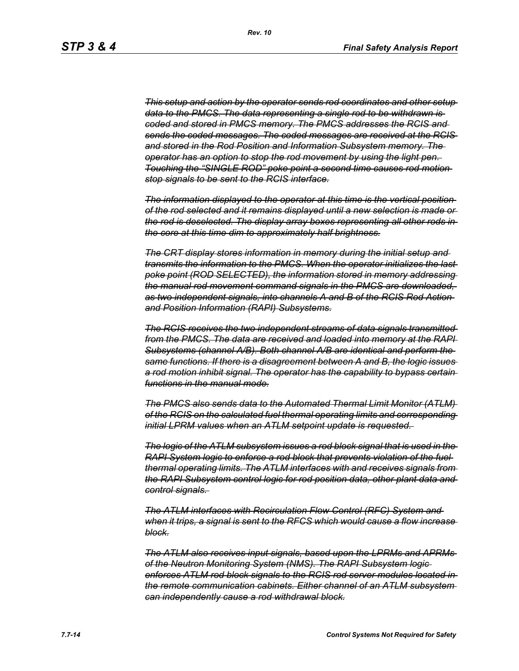*This setup and action by the operator sends rod coordinates and other setup data to the PMCS. The data representing a single rod to be withdrawn is coded and stored in PMCS memory. The PMCS addresses the RCIS and sends the coded messages. The coded messages are received at the RCIS and stored in the Rod Position and Information Subsystem memory. The operator has an option to stop the rod movement by using the light pen. Touching the "SINGLE ROD" poke point a second time causes rod motion stop signals to be sent to the RCIS interface.*

*The information displayed to the operator at this time is the vertical position of the rod selected and it remains displayed until a new selection is made or the rod is deselected. The display array boxes representing all other rods in the core at this time dim to approximately half brightness.*

*The CRT display stores information in memory during the initial setup and transmits the information to the PMCS. When the operator initializes the last poke point (ROD SELECTED), the information stored in memory addressing the manual rod movement command signals in the PMCS are downloaded, as two independent signals, into channels A and B of the RCIS Rod Action and Position Information (RAPI) Subsystems.*

*The RCIS receives the two independent streams of data signals transmitted from the PMCS. The data are received and loaded into memory at the RAPI Subsystems (channel A/B). Both channel A/B are identical and perform the same functions. If there is a disagreement between A and B, the logic issues a rod motion inhibit signal. The operator has the capability to bypass certain functions in the manual mode.*

*The PMCS also sends data to the Automated Thermal Limit Monitor (ATLM) of the RCIS on the calculated fuel thermal operating limits and corresponding initial LPRM values when an ATLM setpoint update is requested.* 

*The logic of the ATLM subsystem issues a rod block signal that is used in the RAPI System logic to enforce a rod block that prevents violation of the fuel thermal operating limits. The ATLM interfaces with and receives signals from the RAPI Subsystem control logic for rod position data, other plant data and control signals.* 

*The ATLM interfaces with Recirculation Flow Control (RFC) System and when it trips, a signal is sent to the RFCS which would cause a flow increase block.*

*The ATLM also receives input signals, based upon the LPRMs and APRMs of the Neutron Monitoring System (NMS). The RAPI Subsystem logic enforces ATLM rod block signals to the RCIS rod server modules located in the remote communication cabinets. Either channel of an ATLM subsystem can independently cause a rod withdrawal block.*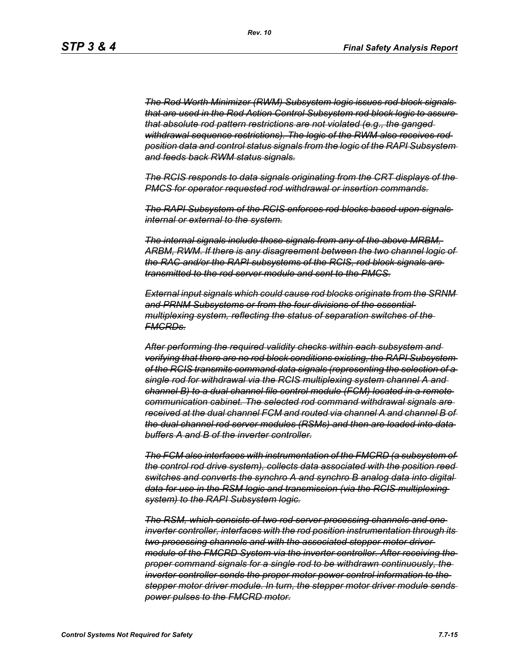*The Rod Worth Minimizer (RWM) Subsystem logic issues rod block signals that are used in the Rod Action Control Subsystem rod block logic to assure that absolute rod pattern restrictions are not violated (e.g., the ganged withdrawal sequence restrictions). The logic of the RWM also receives rod position data and control status signals from the logic of the RAPI Subsystem and feeds back RWM status signals.*

*The RCIS responds to data signals originating from the CRT displays of the PMCS for operator requested rod withdrawal or insertion commands.*

*The RAPI Subsystem of the RCIS enforces rod blocks based upon signals internal or external to the system.*

*The internal signals include those signals from any of the above MRBM, ARBM, RWM. If there is any disagreement between the two channel logic of the RAC and/or the RAPI subsystems of the RCIS, rod block signals are transmitted to the rod server module and sent to the PMCS.*

*External input signals which could cause rod blocks originate from the SRNM and PRNM Subsystems or from the four divisions of the essential multiplexing system, reflecting the status of separation switches of the FMCRDs.*

*After performing the required validity checks within each subsystem and verifying that there are no rod block conditions existing, the RAPI Subsystem of the RCIS transmits command data signals (representing the selection of a single rod for withdrawal via the RCIS multiplexing system channel A and channel B) to a dual channel file control module (FCM) located in a remote communication cabinet. The selected rod command withdrawal signals are received at the dual channel FCM and routed via channel A and channel B of the dual channel rod server modules (RSMs) and then are loaded into data buffers A and B of the inverter controller.*

*The FCM also interfaces with instrumentation of the FMCRD (a subsystem of the control rod drive system), collects data associated with the position reed switches and converts the synchro A and synchro B analog data into digital data for use in the RSM logic and transmission (via the RCIS multiplexing system) to the RAPI Subsystem logic.*

*The RSM, which consists of two rod server processing channels and one inverter controller, interfaces with the rod position instrumentation through its two processing channels and with the associated stepper motor driver module of the FMCRD System via the inverter controller. After receiving the proper command signals for a single rod to be withdrawn continuously, the inverter controller sends the proper motor power control information to the stepper motor driver module. In turn, the stepper motor driver module sends power pulses to the FMCRD motor.*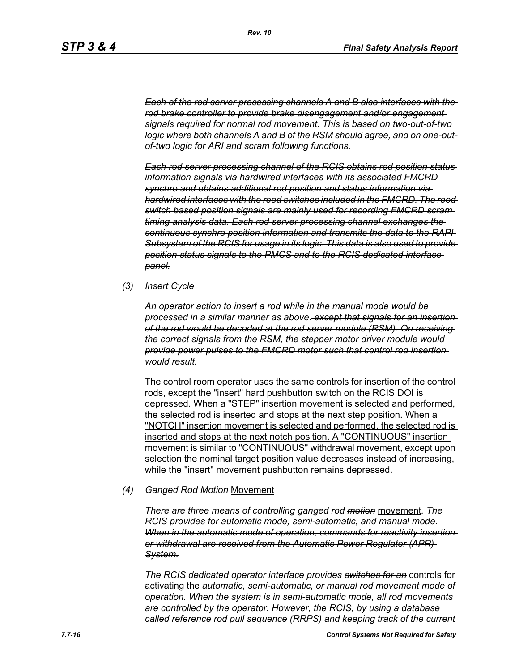*Each of the rod server processing channels A and B also interfaces with the rod brake controller to provide brake disengagement and/or engagement signals required for normal rod movement. This is based on two-out-of-two logic where both channels A and B of the RSM should agree, and on one-outof-two logic for ARI and scram following functions.*

*Each rod server processing channel of the RCIS obtains rod position status information signals via hardwired interfaces with its associated FMCRD synchro and obtains additional rod position and status information via hardwired interfaces with the reed switches included in the FMCRD. The reed switch based position signals are mainly used for recording FMCRD scram timing analysis data. Each rod server processing channel exchanges the continuous synchro position information and transmits the data to the RAPI Subsystem of the RCIS for usage in its logic. This data is also used to provide position status signals to the PMCS and to the RCIS dedicated interface panel.*

*(3) Insert Cycle*

*An operator action to insert a rod while in the manual mode would be processed in a similar manner as above. except that signals for an insertion of the rod would be decoded at the rod server module (RSM). On receiving the correct signals from the RSM, the stepper motor driver module would provide power pulses to the FMCRD motor such that control rod insertion would result.*

The control room operator uses the same controls for insertion of the control rods, except the "insert" hard pushbutton switch on the RCIS DOI is depressed. When a "STEP" insertion movement is selected and performed, the selected rod is inserted and stops at the next step position. When a "NOTCH" insertion movement is selected and performed, the selected rod is inserted and stops at the next notch position. A "CONTINUOUS" insertion movement is similar to "CONTINUOUS" withdrawal movement, except upon selection the nominal target position value decreases instead of increasing, while the "insert" movement pushbutton remains depressed.

#### *(4) Ganged Rod Motion* Movement

*There are three means of controlling ganged rod motion* movement*. The RCIS provides for automatic mode, semi-automatic, and manual mode. When in the automatic mode of operation, commands for reactivity insertion or withdrawal are received from the Automatic Power Regulator (APR) System.*

*The RCIS dedicated operator interface provides switches for an* controls for activating the *automatic, semi-automatic, or manual rod movement mode of operation. When the system is in semi-automatic mode, all rod movements are controlled by the operator. However, the RCIS, by using a database called reference rod pull sequence (RRPS) and keeping track of the current*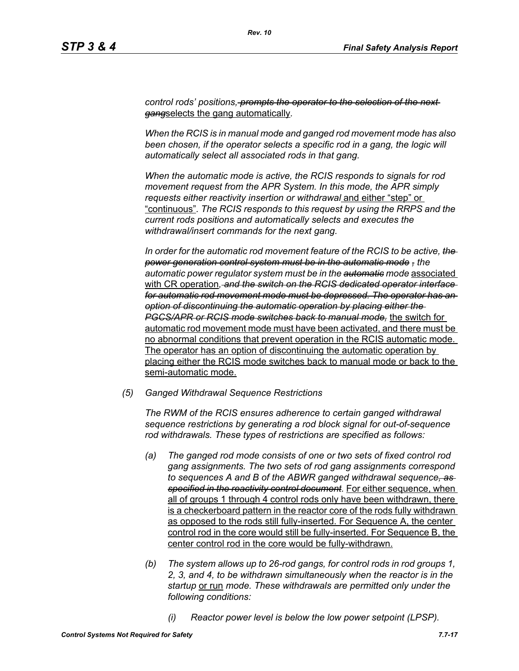*control rods' positions, prompts the operator to the selection of the next gang*selects the gang automatically*.*

*When the RCIS is in manual mode and ganged rod movement mode has also*  been chosen, if the operator selects a specific rod in a gang, the logic will *automatically select all associated rods in that gang.*

*When the automatic mode is active, the RCIS responds to signals for rod movement request from the APR System. In this mode, the APR simply requests either reactivity insertion or withdrawal* and either "step" or "continuous"*. The RCIS responds to this request by using the RRPS and the current rods positions and automatically selects and executes the withdrawal/insert commands for the next gang.*

*In order for the automatic rod movement feature of the RCIS to be active, the power generation control system must be in the automatic mode , the automatic power regulator system must be in the automatic mode* associated with CR operation*, and the switch on the RCIS dedicated operator interface for automatic rod movement mode must be depressed. The operator has an option of discontinuing the automatic operation by placing either the PGCS/APR or RCIS mode switches back to manual mode,* the switch for automatic rod movement mode must have been activated, and there must be no abnormal conditions that prevent operation in the RCIS automatic mode. The operator has an option of discontinuing the automatic operation by placing either the RCIS mode switches back to manual mode or back to the semi-automatic mode.

*(5) Ganged Withdrawal Sequence Restrictions*

*The RWM of the RCIS ensures adherence to certain ganged withdrawal sequence restrictions by generating a rod block signal for out-of-sequence rod withdrawals. These types of restrictions are specified as follows:*

- *(a) The ganged rod mode consists of one or two sets of fixed control rod gang assignments. The two sets of rod gang assignments correspond to sequences A and B of the ABWR ganged withdrawal sequence, as specified in the reactivity control document.* For either sequence, when all of groups 1 through 4 control rods only have been withdrawn, there is a checkerboard pattern in the reactor core of the rods fully withdrawn as opposed to the rods still fully-inserted. For Sequence A, the center control rod in the core would still be fully-inserted. For Sequence B, the center control rod in the core would be fully-withdrawn.
- *(b) The system allows up to 26-rod gangs, for control rods in rod groups 1, 2, 3, and 4, to be withdrawn simultaneously when the reactor is in the startup* or run *mode. These withdrawals are permitted only under the following conditions:*
	- *(i) Reactor power level is below the low power setpoint (LPSP).*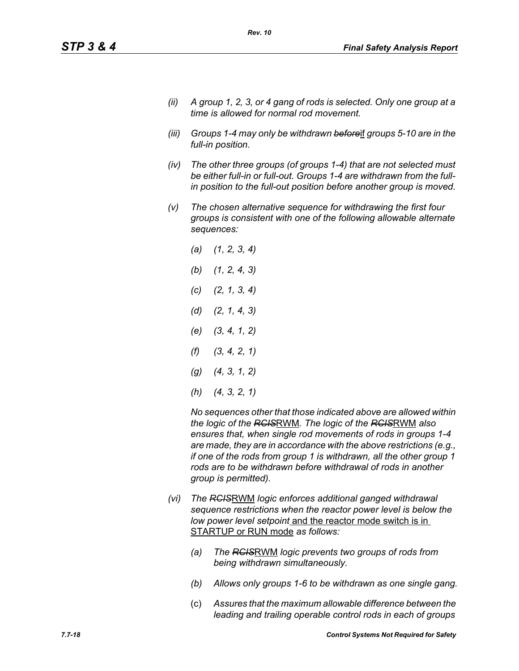- *(ii) A group 1, 2, 3, or 4 gang of rods is selected. Only one group at a time is allowed for normal rod movement.*
- *(iii) Groups 1-4 may only be withdrawn before*if *groups 5-10 are in the full-in position.*
- *(iv) The other three groups (of groups 1-4) that are not selected must be either full-in or full-out. Groups 1-4 are withdrawn from the fullin position to the full-out position before another group is moved.*
- *(v) The chosen alternative sequence for withdrawing the first four groups is consistent with one of the following allowable alternate sequences:*
	- *(a) (1, 2, 3, 4) (b) (1, 2, 4, 3) (c) (2, 1, 3, 4) (d) (2, 1, 4, 3) (e) (3, 4, 1, 2) (f) (3, 4, 2, 1) (g) (4, 3, 1, 2) (h) (4, 3, 2, 1)*

*No sequences other that those indicated above are allowed within the logic of the RCIS*RWM*. The logic of the RCIS*RWM *also ensures that, when single rod movements of rods in groups 1-4 are made, they are in accordance with the above restrictions (e.g., if one of the rods from group 1 is withdrawn, all the other group 1 rods are to be withdrawn before withdrawal of rods in another group is permitted).*

- *(vi) The RCIS*RWM *logic enforces additional ganged withdrawal sequence restrictions when the reactor power level is below the low power level setpoint* and the reactor mode switch is in STARTUP or RUN mode *as follows:*
	- *(a) The RCIS*RWM *logic prevents two groups of rods from being withdrawn simultaneously.*
	- *(b) Allows only groups 1-6 to be withdrawn as one single gang.*
	- (c) *Assures that the maximum allowable difference between the leading and trailing operable control rods in each of groups*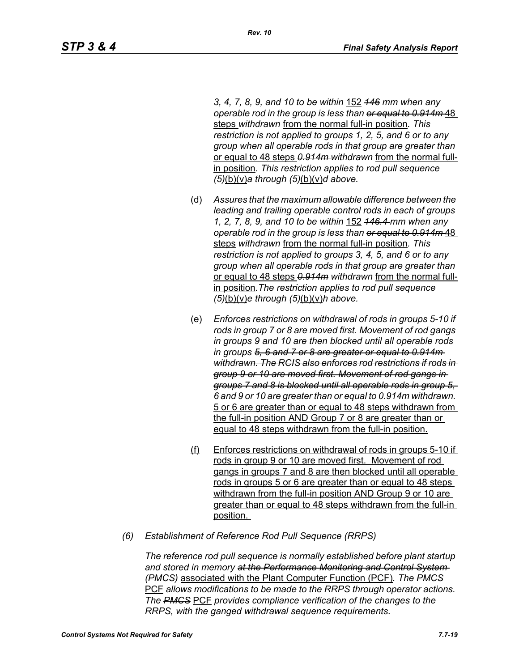*3, 4, 7, 8, 9, and 10 to be within* 152 *146 mm when any operable rod in the group is less than or equal to 0.914m* 48 steps *withdrawn* from the normal full-in position*. This restriction is not applied to groups 1, 2, 5, and 6 or to any group when all operable rods in that group are greater than*  or equal to 48 steps *0.914m withdrawn* from the normal fullin position*. This restriction applies to rod pull sequence (5)*(b)(v)*a through (5)*(b)(v)*d above.*

- (d) *Assures that the maximum allowable difference between the leading and trailing operable control rods in each of groups 1, 2, 7, 8, 9, and 10 to be within* 152 *146.4 mm when any operable rod in the group is less than or equal to 0.914m* 48 steps *withdrawn* from the normal full-in position*. This restriction is not applied to groups 3, 4, 5, and 6 or to any group when all operable rods in that group are greater than*  or equal to 48 steps *0.914m withdrawn* from the normal fullin position*.The restriction applies to rod pull sequence (5)*(b)(v)*e through (5)*(b)(v)*h above.*
- (e) *Enforces restrictions on withdrawal of rods in groups 5-10 if rods in group 7 or 8 are moved first. Movement of rod gangs in groups 9 and 10 are then blocked until all operable rods in groups 5, 6 and 7 or 8 are greater or equal to 0.914m withdrawn. The RCIS also enforces rod restrictions if rods in group 9 or 10 are moved first. Movement of rod gangs in groups 7 and 8 is blocked until all operable rods in group 5, 6 and 9 or 10 are greater than or equal to 0.914m withdrawn.*  5 or 6 are greater than or equal to 48 steps withdrawn from the full-in position AND Group 7 or 8 are greater than or equal to 48 steps withdrawn from the full-in position.
- (f) Enforces restrictions on withdrawal of rods in groups 5-10 if rods in group 9 or 10 are moved first. Movement of rod gangs in groups 7 and 8 are then blocked until all operable rods in groups 5 or 6 are greater than or equal to 48 steps withdrawn from the full-in position AND Group 9 or 10 are greater than or equal to 48 steps withdrawn from the full-in position.
- *(6) Establishment of Reference Rod Pull Sequence (RRPS)*

*The reference rod pull sequence is normally established before plant startup and stored in memory at the Performance Monitoring and Control System (PMCS)* associated with the Plant Computer Function (PCF)*. The PMCS* PCF *allows modifications to be made to the RRPS through operator actions. The PMCS* PCF *provides compliance verification of the changes to the RRPS, with the ganged withdrawal sequence requirements.*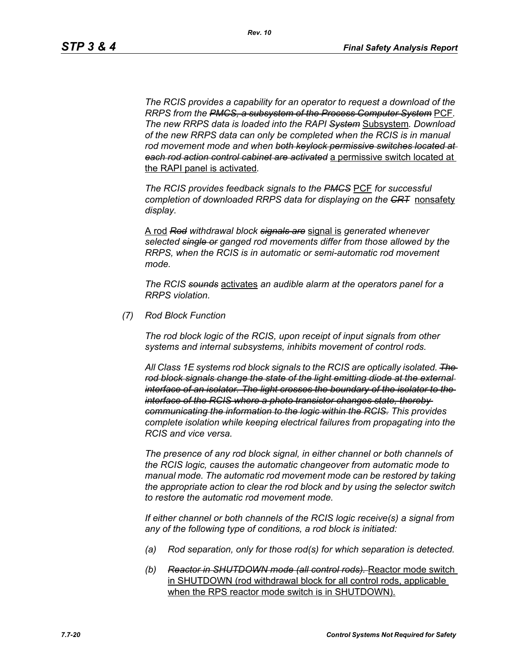*The RCIS provides a capability for an operator to request a download of the RRPS from the PMCS, a subsystem of the Process Computer System* PCF*. The new RRPS data is loaded into the RAPI System* Subsystem*. Download of the new RRPS data can only be completed when the RCIS is in manual rod movement mode and when both keylock permissive switches located at each rod action control cabinet are activated* a permissive switch located at the RAPI panel is activated*.*

*The RCIS provides feedback signals to the PMCS* PCF *for successful completion of downloaded RRPS data for displaying on the CRT* nonsafety *display.*

A rod *Rod withdrawal block signals are* signal is *generated whenever selected single or ganged rod movements differ from those allowed by the RRPS, when the RCIS is in automatic or semi-automatic rod movement mode.*

*The RCIS sounds* activates *an audible alarm at the operators panel for a RRPS violation.*

*(7) Rod Block Function*

*The rod block logic of the RCIS, upon receipt of input signals from other systems and internal subsystems, inhibits movement of control rods.*

*All Class 1E systems rod block signals to the RCIS are optically isolated. The rod block signals change the state of the light emitting diode at the external interface of an isolator. The light crosses the boundary of the isolator to the interface of the RCIS where a photo transistor changes state, thereby communicating the information to the logic within the RCIS. This provides complete isolation while keeping electrical failures from propagating into the RCIS and vice versa.*

*The presence of any rod block signal, in either channel or both channels of the RCIS logic, causes the automatic changeover from automatic mode to manual mode. The automatic rod movement mode can be restored by taking the appropriate action to clear the rod block and by using the selector switch to restore the automatic rod movement mode.*

*If either channel or both channels of the RCIS logic receive(s) a signal from any of the following type of conditions, a rod block is initiated:*

- *(a) Rod separation, only for those rod(s) for which separation is detected.*
- *(b) Reactor in SHUTDOWN mode (all control rods).* Reactor mode switch in SHUTDOWN (rod withdrawal block for all control rods, applicable when the RPS reactor mode switch is in SHUTDOWN).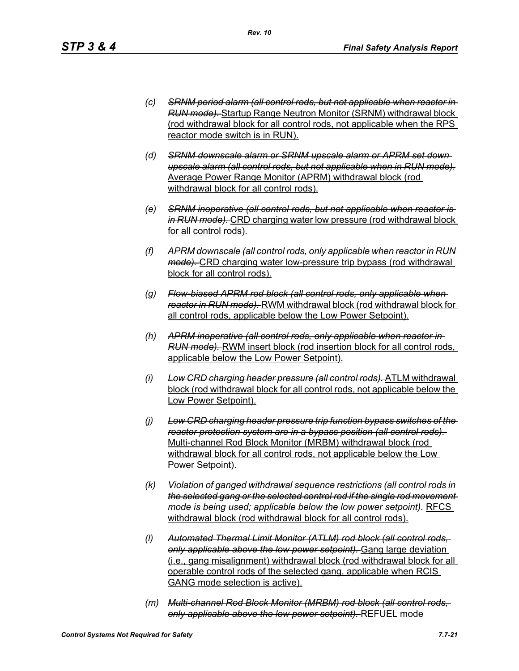- *(c) SRNM period alarm (all control rods, but not applicable when reactor in RUN mode).* Startup Range Neutron Monitor (SRNM) withdrawal block (rod withdrawal block for all control rods, not applicable when the RPS reactor mode switch is in RUN).
- *(d) SRNM downscale alarm or SRNM upscale alarm or APRM set down upscale alarm (all control rods, but not applicable when in RUN mode).* Average Power Range Monitor (APRM) withdrawal block (rod withdrawal block for all control rods).
- *(e) SRNM inoperative (all control rods, but not applicable when reactor is in RUN mode).* CRD charging water low pressure (rod withdrawal block for all control rods).
- *(f) APRM downscale (all control rods, only applicable when reactor in RUN mode).* CRD charging water low-pressure trip bypass (rod withdrawal block for all control rods).
- *(g) Flow-biased APRM rod block (all control rods, only applicable when reactor in RUN mode).* RWM withdrawal block (rod withdrawal block for all control rods, applicable below the Low Power Setpoint).
- *(h) APRM inoperative (all control rods, only applicable when reactor in RUN mode).* RWM insert block (rod insertion block for all control rods, applicable below the Low Power Setpoint).
- *(i) Low CRD charging header pressure (all control rods).* ATLM withdrawal block (rod withdrawal block for all control rods, not applicable below the Low Power Setpoint).
- *(j) Low CRD charging header pressure trip function bypass switches of the reactor protection system are in a bypass position (all control rods).*  Multi-channel Rod Block Monitor (MRBM) withdrawal block (rod withdrawal block for all control rods, not applicable below the Low Power Setpoint).
- *(k) Violation of ganged withdrawal sequence restrictions (all control rods in the selected gang or the selected control rod if the single rod movement mode is being used; applicable below the low power setpoint).* RFCS withdrawal block (rod withdrawal block for all control rods).
- *(l) Automated Thermal Limit Monitor (ATLM) rod block (all control rods, only applicable above the low power setpoint).* Gang large deviation (i.e., gang misalignment) withdrawal block (rod withdrawal block for all operable control rods of the selected gang, applicable when RCIS GANG mode selection is active).
- *(m) Multi-channel Rod Block Monitor (MRBM) rod block (all control rods, only applicable above the low power setpoint).* REFUEL mode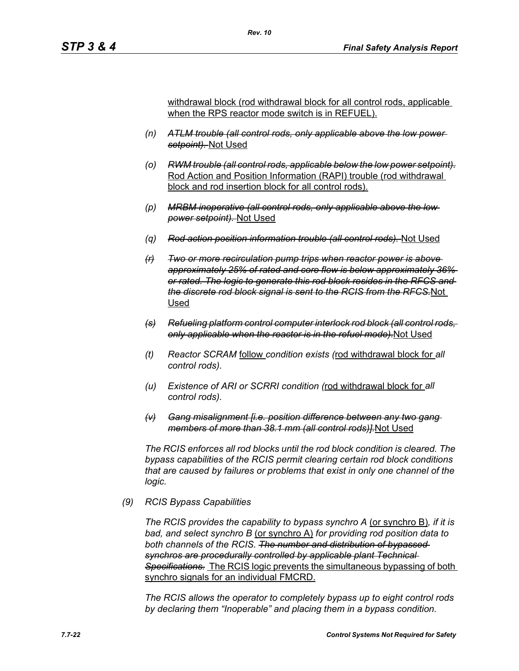withdrawal block (rod withdrawal block for all control rods, applicable when the RPS reactor mode switch is in REFUEL).

- *(n) ATLM trouble (all control rods, only applicable above the low power setpoint).* Not Used
- *(o) RWM trouble (all control rods, applicable below the low power setpoint).* Rod Action and Position Information (RAPI) trouble (rod withdrawal block and rod insertion block for all control rods).
- *(p) MRBM inoperative (all control rods, only applicable above the low power setpoint).* Not Used
- *(q) Rod action position information trouble (all control rods).* Not Used
- *(r) Two or more recirculation pump trips when reactor power is above approximately 25% of rated and core flow is below approximately 36% or rated. The logic to generate this rod block resides in the RFCS and the discrete rod block signal is sent to the RCIS from the RFCS.*Not Used
- *(s) Refueling platform control computer interlock rod block (all control rods, only applicable when the reactor is in the refuel mode).*Not Used
- *(t) Reactor SCRAM* follow *condition exists (*rod withdrawal block for *all control rods).*
- *(u) Existence of ARI or SCRRI condition (*rod withdrawal block for *all control rods).*
- *(v) Gang misalignment [i.e. position difference between any two gang members of more than 38.1 mm (all control rods)].*Not Used

*The RCIS enforces all rod blocks until the rod block condition is cleared. The bypass capabilities of the RCIS permit clearing certain rod block conditions that are caused by failures or problems that exist in only one channel of the logic.*

#### *(9) RCIS Bypass Capabilities*

*The RCIS provides the capability to bypass synchro A* (or synchro B)*, if it is bad, and select synchro B* (or synchro A) *for providing rod position data to both channels of the RCIS. The number and distribution of bypassed synchros are procedurally controlled by applicable plant Technical Specifications.* The RCIS logic prevents the simultaneous bypassing of both synchro signals for an individual FMCRD.

*The RCIS allows the operator to completely bypass up to eight control rods by declaring them "Inoperable" and placing them in a bypass condition.*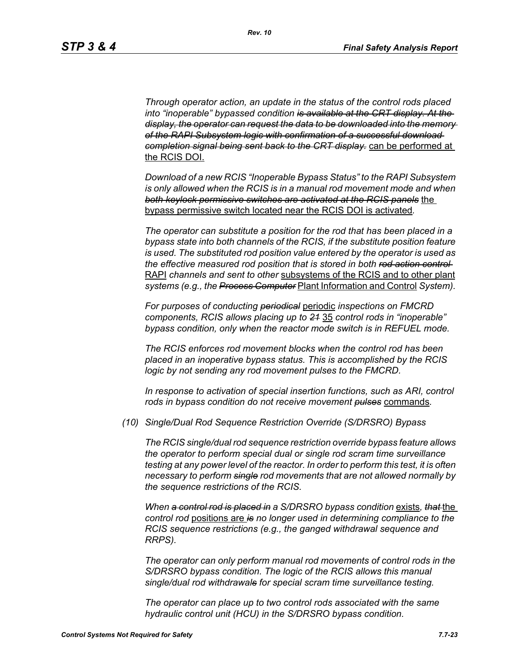*Through operator action, an update in the status of the control rods placed into "inoperable" bypassed condition is available at the CRT display. At the display, the operator can request the data to be downloaded into the memory of the RAPI Subsystem logic with confirmation of a successful download completion signal being sent back to the CRT display.* can be performed at the RCIS DOI.

*Download of a new RCIS "Inoperable Bypass Status" to the RAPI Subsystem is only allowed when the RCIS is in a manual rod movement mode and when both keylock permissive switches are activated at the RCIS panels* the bypass permissive switch located near the RCIS DOI is activated*.*

*The operator can substitute a position for the rod that has been placed in a bypass state into both channels of the RCIS, if the substitute position feature is used. The substituted rod position value entered by the operator is used as the effective measured rod position that is stored in both rod action control*  RAPI *channels and sent to other* subsystems of the RCIS and to other plant *systems (e.g., the Process Computer* Plant Information and Control *System).*

*For purposes of conducting periodical* periodic *inspections on FMCRD components, RCIS allows placing up to 21* 35 *control rods in "inoperable" bypass condition, only when the reactor mode switch is in REFUEL mode.*

*The RCIS enforces rod movement blocks when the control rod has been placed in an inoperative bypass status. This is accomplished by the RCIS logic by not sending any rod movement pulses to the FMCRD.*

*In response to activation of special insertion functions, such as ARI, control rods in bypass condition do not receive movement pulses* commands*.*

*(10) Single/Dual Rod Sequence Restriction Override (S/DRSRO) Bypass*

*The RCIS single/dual rod sequence restriction override bypass feature allows the operator to perform special dual or single rod scram time surveillance testing at any power level of the reactor. In order to perform this test, it is often necessary to perform single rod movements that are not allowed normally by the sequence restrictions of the RCIS.*

*When a control rod is placed in a S/DRSRO bypass condition* exists*, that* the *control rod* positions are *is no longer used in determining compliance to the RCIS sequence restrictions (e.g., the ganged withdrawal sequence and RRPS).*

*The operator can only perform manual rod movements of control rods in the S/DRSRO bypass condition. The logic of the RCIS allows this manual single/dual rod withdrawals for special scram time surveillance testing.*

*The operator can place up to two control rods associated with the same hydraulic control unit (HCU) in the S/DRSRO bypass condition.*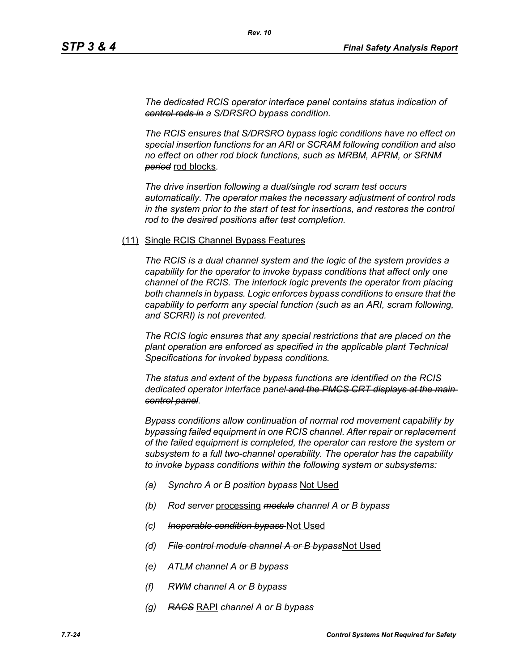*The dedicated RCIS operator interface panel contains status indication of control rods in a S/DRSRO bypass condition.*

*The RCIS ensures that S/DRSRO bypass logic conditions have no effect on special insertion functions for an ARI or SCRAM following condition and also no effect on other rod block functions, such as MRBM, APRM, or SRNM period* rod blocks*.*

*The drive insertion following a dual/single rod scram test occurs automatically. The operator makes the necessary adjustment of control rods in the system prior to the start of test for insertions, and restores the control rod to the desired positions after test completion.*

#### (11) Single RCIS Channel Bypass Features

*The RCIS is a dual channel system and the logic of the system provides a capability for the operator to invoke bypass conditions that affect only one channel of the RCIS. The interlock logic prevents the operator from placing both channels in bypass. Logic enforces bypass conditions to ensure that the capability to perform any special function (such as an ARI, scram following, and SCRRI) is not prevented.*

*The RCIS logic ensures that any special restrictions that are placed on the plant operation are enforced as specified in the applicable plant Technical Specifications for invoked bypass conditions.*

*The status and extent of the bypass functions are identified on the RCIS dedicated operator interface panel and the PMCS CRT displays at the main control panel.*

*Bypass conditions allow continuation of normal rod movement capability by bypassing failed equipment in one RCIS channel. After repair or replacement of the failed equipment is completed, the operator can restore the system or subsystem to a full two-channel operability. The operator has the capability to invoke bypass conditions within the following system or subsystems:*

- *(a) Synchro A or B position bypass* Not Used
- *(b) Rod server* processing *module channel A or B bypass*
- *(c) Inoperable condition bypass* Not Used
- *(d) File control module channel A or B bypass*Not Used
- *(e) ATLM channel A or B bypass*
- *(f) RWM channel A or B bypass*
- *(g) RACS* RAPI *channel A or B bypass*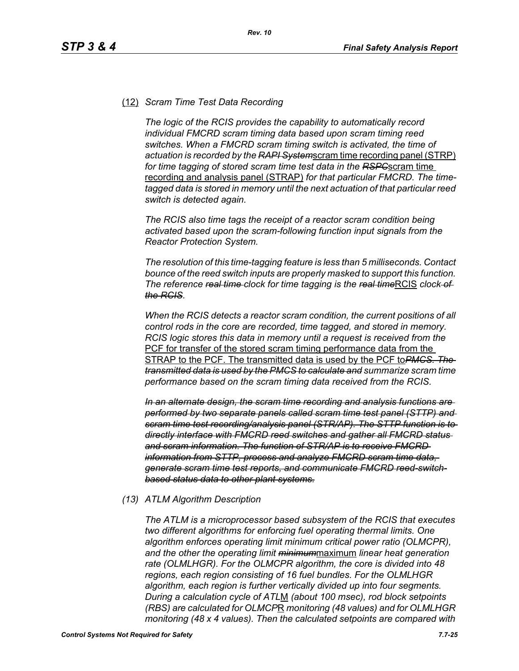#### (12) *Scram Time Test Data Recording*

*The logic of the RCIS provides the capability to automatically record individual FMCRD scram timing data based upon scram timing reed switches. When a FMCRD scram timing switch is activated, the time of actuation is recorded by the RAPI System*scram time recording panel (STRP) *for time tagging of stored scram time test data in the RSPC*scram time recording and analysis panel (STRAP) *for that particular FMCRD. The timetagged data is stored in memory until the next actuation of that particular reed switch is detected again.*

*The RCIS also time tags the receipt of a reactor scram condition being activated based upon the scram-following function input signals from the Reactor Protection System.*

*The resolution of this time-tagging feature is less than 5 milliseconds. Contact bounce of the reed switch inputs are properly masked to support this function. The reference <del>real time</del> clock for time tagging is the real timeRCIS clock of the RCIS.*

*When the RCIS detects a reactor scram condition, the current positions of all control rods in the core are recorded, time tagged, and stored in memory. RCIS logic stores this data in memory until a request is received from the*  PCF for transfer of the stored scram timing performance data from the STRAP to the PCF. The transmitted data is used by the PCF to*PMCS. The transmitted data is used by the PMCS to calculate and summarize scram time performance based on the scram timing data received from the RCIS.*

*In an alternate design, the scram time recording and analysis functions are performed by two separate panels called scram time test panel (STTP) and scram time test recording/analysis panel (STR/AP). The STTP function is to directly interface with FMCRD reed switches and gather all FMCRD status and scram information. The function of STR/AP is to receive FMCRD information from STTP, process and analyze FMCRD scram time data, generate scram time test reports, and communicate FMCRD reed-switchbased status data to other plant systems.*

#### *(13) ATLM Algorithm Description*

*The ATLM is a microprocessor based subsystem of the RCIS that executes two different algorithms for enforcing fuel operating thermal limits. One algorithm enforces operating limit minimum critical power ratio (OLMCPR), and the other the operating limit minimum*maximum *linear heat generation rate (OLMLHGR). For the OLMCPR algorithm, the core is divided into 48 regions, each region consisting of 16 fuel bundles. For the OLMLHGR algorithm, each region is further vertically divided up into four segments. During a calculation cycle of ATL*M *(about 100 msec), rod block setpoints (RBS) are calculated for OLMCP*R *monitoring (48 values) and for OLMLHGR monitoring (48 x 4 values). Then the calculated setpoints are compared with*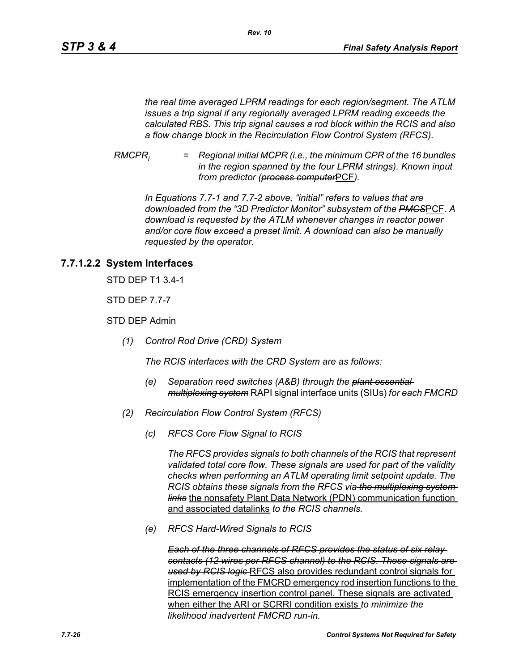*the real time averaged LPRM readings for each region/segment. The ATLM issues a trip signal if any regionally averaged LPRM reading exceeds the calculated RBS. This trip signal causes a rod block within the RCIS and also a flow change block in the Recirculation Flow Control System (RFCS).*

*RMCPRi = Regional initial MCPR (i.e., the minimum CPR of the 16 bundles in the region spanned by the four LPRM strings). Known input from predictor (process computer*PCF*).*

*In Equations 7.7-1 and 7.7-2 above, "initial" refers to values that are downloaded from the "3D Predictor Monitor" subsystem of the PMCS*PCF*. A download is requested by the ATLM whenever changes in reactor power and/or core flow exceed a preset limit. A download can also be manually requested by the operator.*

## **7.7.1.2.2 System Interfaces**

STD DEP T1 3.4-1

STD DEP 7.7-7

STD DEP Admin

*(1) Control Rod Drive (CRD) System*

*The RCIS interfaces with the CRD System are as follows:*

- *(e) Separation reed switches (A&B) through the plant essential multiplexing system* RAPI signal interface units (SIUs) *for each FMCRD*
- *(2) Recirculation Flow Control System (RFCS)*
	- *(c) RFCS Core Flow Signal to RCIS*

*The RFCS provides signals to both channels of the RCIS that represent validated total core flow. These signals are used for part of the validity checks when performing an ATLM operating limit setpoint update. The RCIS obtains these signals from the RFCS via the multiplexing system links* the nonsafety Plant Data Network (PDN) communication function and associated datalinks *to the RCIS channels.*

*(e) RFCS Hard-Wired Signals to RCIS*

*Each of the three channels of RFCS provides the status of six relay contacts (12 wires per RFCS channel) to the RCIS. These signals are used by RCIS logic* RFCS also provides redundant control signals for implementation of the FMCRD emergency rod insertion functions to the RCIS emergency insertion control panel. These signals are activated when either the ARI or SCRRI condition exists *to minimize the likelihood inadvertent FMCRD run-in.*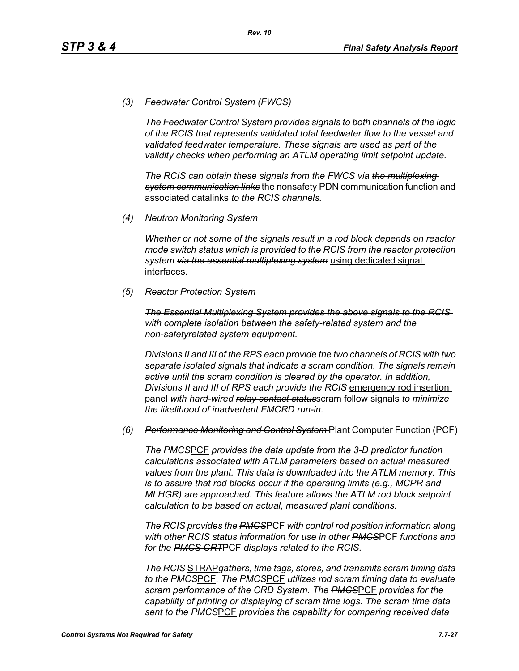*(3) Feedwater Control System (FWCS)*

*The Feedwater Control System provides signals to both channels of the logic of the RCIS that represents validated total feedwater flow to the vessel and validated feedwater temperature. These signals are used as part of the validity checks when performing an ATLM operating limit setpoint update.*

*The RCIS can obtain these signals from the FWCS via the multiplexing system communication links* the nonsafety PDN communication function and associated datalinks *to the RCIS channels.*

*(4) Neutron Monitoring System*

*Whether or not some of the signals result in a rod block depends on reactor mode switch status which is provided to the RCIS from the reactor protection system via the essential multiplexing system* using dedicated signal interfaces*.*

*(5) Reactor Protection System*

*The Essential Multiplexing System provides the above signals to the RCIS with complete isolation between the safety-related system and the non-safetyrelated system equipment.*

*Divisions II and III of the RPS each provide the two channels of RCIS with two separate isolated signals that indicate a scram condition. The signals remain active until the scram condition is cleared by the operator. In addition, Divisions II and III of RPS each provide the RCIS* emergency rod insertion panel *with hard-wired relay contact status*scram follow signals *to minimize the likelihood of inadvertent FMCRD run-in.*

#### *(6) Performance Monitoring and Control System* Plant Computer Function (PCF)

*The PMCS*PCF *provides the data update from the 3-D predictor function calculations associated with ATLM parameters based on actual measured values from the plant. This data is downloaded into the ATLM memory. This is to assure that rod blocks occur if the operating limits (e.g., MCPR and MLHGR) are approached. This feature allows the ATLM rod block setpoint calculation to be based on actual, measured plant conditions.*

*The RCIS provides the PMCS*PCF *with control rod position information along with other RCIS status information for use in other PMCS*PCF *functions and for the PMCS CRT*PCF *displays related to the RCIS.*

*The RCIS* STRAP*gathers, time tags, stores, and transmits scram timing data to the PMCS*PCF*. The PMCS*PCF *utilizes rod scram timing data to evaluate scram performance of the CRD System. The PMCS*PCF *provides for the capability of printing or displaying of scram time logs. The scram time data sent to the PMCS*PCF *provides the capability for comparing received data*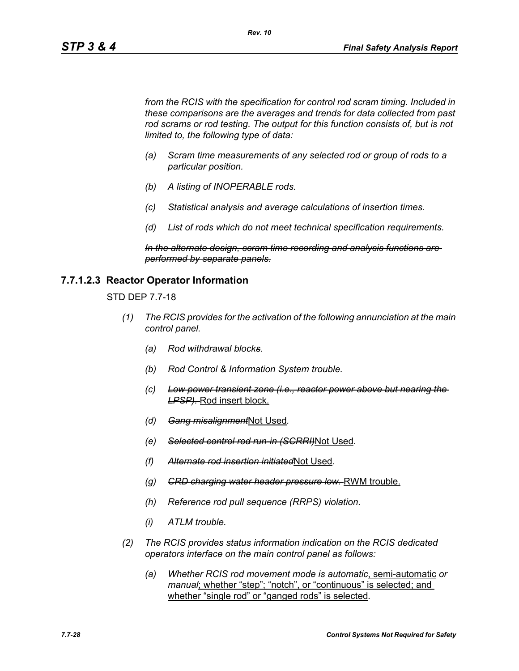*from the RCIS with the specification for control rod scram timing. Included in these comparisons are the averages and trends for data collected from past*  rod scrams or rod testing. The output for this function consists of, but is not *limited to, the following type of data:*

- *(a) Scram time measurements of any selected rod or group of rods to a particular position.*
- *(b) A listing of INOPERABLE rods.*
- *(c) Statistical analysis and average calculations of insertion times.*
- *(d) List of rods which do not meet technical specification requirements.*

*In the alternate design, scram time recording and analysis functions are performed by separate panels.*

#### **7.7.1.2.3 Reactor Operator Information**

STD DEP 7.7-18

- *(1) The RCIS provides for the activation of the following annunciation at the main control panel.*
	- *(a) Rod withdrawal blocks.*
	- *(b) Rod Control & Information System trouble.*
	- *(c) Low power transient zone (i.e., reactor power above but nearing the LPSP).* Rod insert block.
	- *(d) Gang misalignment*Not Used*.*
	- *(e) Selected control rod run-in (SCRRI)*Not Used*.*
	- *(f) Alternate rod insertion initiated*Not Used*.*
	- *(g) CRD charging water header pressure low.* RWM trouble.
	- *(h) Reference rod pull sequence (RRPS) violation.*
	- *(i) ATLM trouble.*
- *(2) The RCIS provides status information indication on the RCIS dedicated operators interface on the main control panel as follows:*
	- *(a) Whether RCIS rod movement mode is automatic*, semi-automatic *or manual*; whether "step"; "notch", or "continuous" is selected; and whether "single rod" or "ganged rods" is selected*.*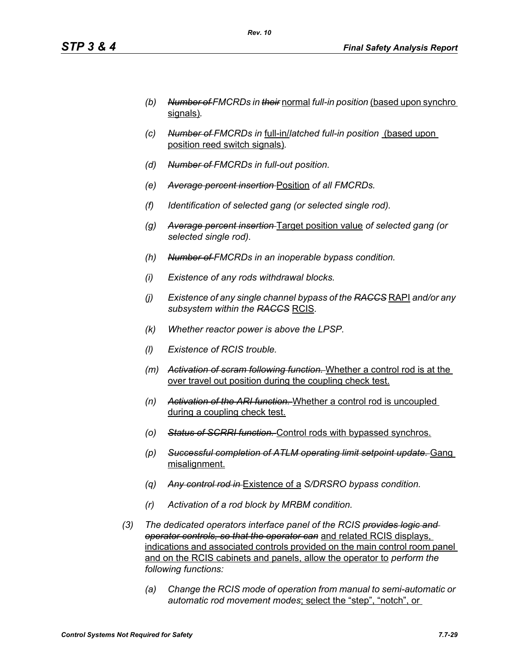- *(b) Number of FMCRDs in their* normal *full-in position* (based upon synchro signals)*.*
- *(c) Number of FMCRDs in* full-in/*latched full-in position* (based upon position reed switch signals)*.*
- *(d) Number of FMCRDs in full-out position.*
- *(e) Average percent insertion* Position *of all FMCRDs.*
- *(f) Identification of selected gang (or selected single rod).*
- *(g) Average percent insertion* Target position value *of selected gang (or selected single rod).*
- *(h) Number of FMCRDs in an inoperable bypass condition.*
- *(i) Existence of any rods withdrawal blocks.*
- *(j) Existence of any single channel bypass of the RACCS* RAPI *and/or any subsystem within the RACCS* RCIS*.*
- *(k) Whether reactor power is above the LPSP.*
- *(l) Existence of RCIS trouble.*
- *(m) Activation of scram following function.* Whether a control rod is at the over travel out position during the coupling check test.
- *(n) Activation of the ARI function.* Whether a control rod is uncoupled during a coupling check test.
- *(o) Status of SCRRI function.* Control rods with bypassed synchros.
- *(p) Successful completion of ATLM operating limit setpoint update.* Gang misalignment.
- *(q) Any control rod in* Existence of a *S/DRSRO bypass condition.*
- *(r) Activation of a rod block by MRBM condition.*
- *(3) The dedicated operators interface panel of the RCIS provides logic and operator controls, so that the operator can* and related RCIS displays, indications and associated controls provided on the main control room panel and on the RCIS cabinets and panels, allow the operator to *perform the following functions:*
	- *(a) Change the RCIS mode of operation from manual to semi-automatic or automatic rod movement modes*; select the "step", "notch", or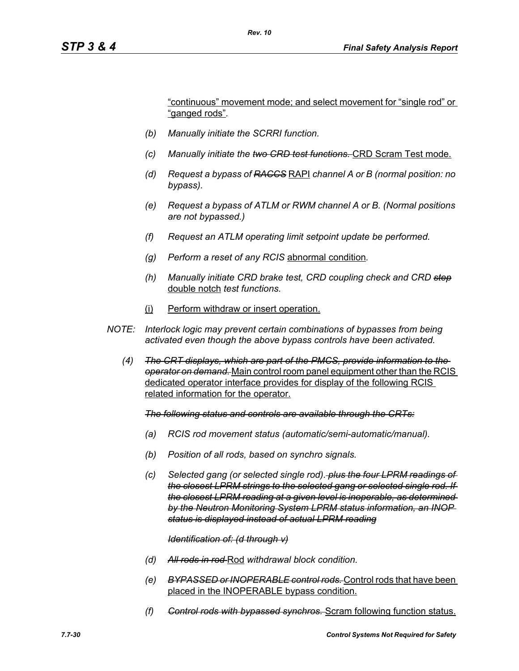"continuous" movement mode; and select movement for "single rod" or "ganged rods"*.*

- *(b) Manually initiate the SCRRI function.*
- *(c) Manually initiate the two CRD test functions.* CRD Scram Test mode.
- *(d) Request a bypass of RACCS* RAPI *channel A or B (normal position: no bypass).*
- *(e) Request a bypass of ATLM or RWM channel A or B. (Normal positions are not bypassed.)*
- *(f) Request an ATLM operating limit setpoint update be performed.*
- *(g) Perform a reset of any RCIS* abnormal condition*.*
- *(h) Manually initiate CRD brake test, CRD coupling check and CRD step* double notch *test functions.*
- (i) Perform withdraw or insert operation.
- *NOTE: Interlock logic may prevent certain combinations of bypasses from being activated even though the above bypass controls have been activated.*
	- *(4) The CRT displays, which are part of the PMCS, provide information to the operator on demand.* Main control room panel equipment other than the RCIS dedicated operator interface provides for display of the following RCIS related information for the operator.

*The following status and controls are available through the CRTs:*

- *(a) RCIS rod movement status (automatic/semi-automatic/manual).*
- *(b) Position of all rods, based on synchro signals.*
- *(c) Selected gang (or selected single rod). plus the four LPRM readings of the closest LPRM strings to the selected gang or selected single rod. If the closest LPRM reading at a given level is inoperable, as determined by the Neutron Monitoring System LPRM status information, an INOP status is displayed instead of actual LPRM reading*

#### *Identification of: (d through v)*

- *(d) All rods in rod* Rod *withdrawal block condition.*
- *(e) BYPASSED or INOPERABLE control rods.* Control rods that have been placed in the INOPERABLE bypass condition.
- *(f) Control rods with bypassed synchros.* Scram following function status.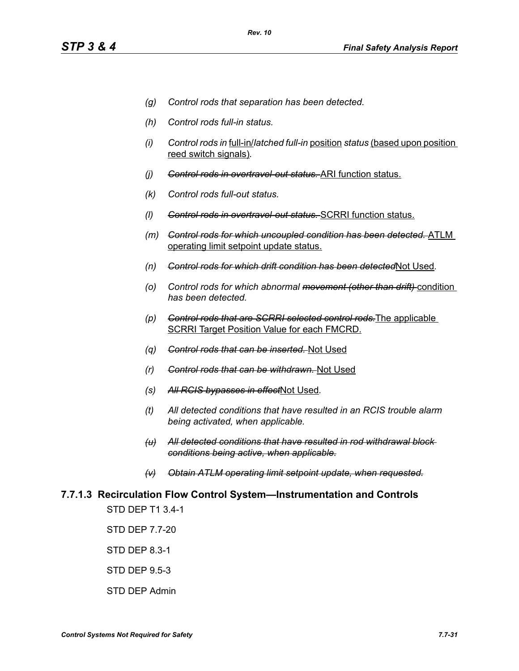- *(g) Control rods that separation has been detected.*
- *(h) Control rods full-in status.*
- *(i) Control rods in* full-in/*latched full-in* position *status* (based upon position reed switch signals)*.*
- *(j) Control rods in overtravel-out status.* ARI function status.
- *(k) Control rods full-out status.*
- *(l) Control rods in overtravel-out status.* SCRRI function status.
- *(m) Control rods for which uncoupled condition has been detected.* ATLM operating limit setpoint update status.
- *(n) Control rods for which drift condition has been detected*Not Used*.*
- *(o) Control rods for which abnormal movement (other than drift)* condition *has been detected.*
- *(p) Control rods that are SCRRI selected control rods.*The applicable SCRRI Target Position Value for each FMCRD.
- *(q) Control rods that can be inserted.* Not Used
- *(r) Control rods that can be withdrawn.* Not Used
- *(s) All RCIS bypasses in effect*Not Used*.*
- *(t) All detected conditions that have resulted in an RCIS trouble alarm being activated, when applicable.*
- *(u) All detected conditions that have resulted in rod withdrawal block conditions being active, when applicable.*
- *(v) Obtain ATLM operating limit setpoint update, when requested.*

# **7.7.1.3 Recirculation Flow Control System—Instrumentation and Controls**

STD DEP T1 3.4-1

STD DEP 7.7-20

STD DEP 8.3-1

STD DEP 9.5-3

STD DEP Admin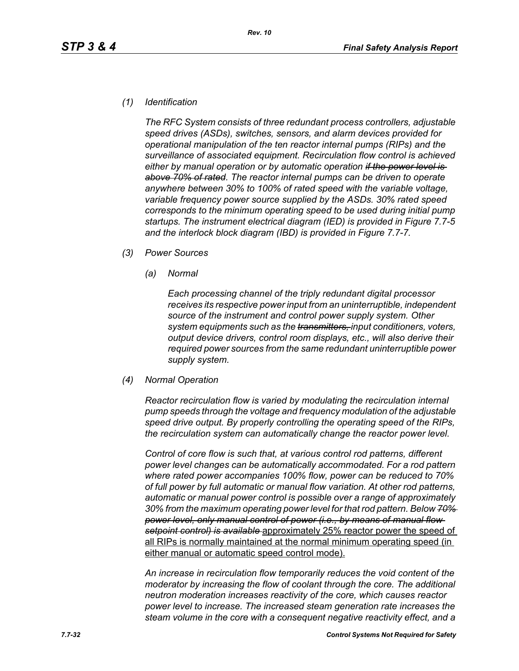#### *(1) Identification*

*The RFC System consists of three redundant process controllers, adjustable speed drives (ASDs), switches, sensors, and alarm devices provided for operational manipulation of the ten reactor internal pumps (RIPs) and the surveillance of associated equipment. Recirculation flow control is achieved either by manual operation or by automatic operation if the power level is above 70% of rated. The reactor internal pumps can be driven to operate anywhere between 30% to 100% of rated speed with the variable voltage, variable frequency power source supplied by the ASDs. 30% rated speed corresponds to the minimum operating speed to be used during initial pump startups. The instrument electrical diagram (IED) is provided in Figure 7.7-5 and the interlock block diagram (IBD) is provided in Figure 7.7-7.*

- *(3) Power Sources*
	- *(a) Normal*

*Each processing channel of the triply redundant digital processor receives its respective power input from an uninterruptible, independent source of the instrument and control power supply system. Other system equipments such as the transmitters, input conditioners, voters, output device drivers, control room displays, etc., will also derive their required power sources from the same redundant uninterruptible power supply system.*

*(4) Normal Operation*

*Reactor recirculation flow is varied by modulating the recirculation internal pump speeds through the voltage and frequency modulation of the adjustable speed drive output. By properly controlling the operating speed of the RIPs, the recirculation system can automatically change the reactor power level.*

*Control of core flow is such that, at various control rod patterns, different power level changes can be automatically accommodated. For a rod pattern where rated power accompanies 100% flow, power can be reduced to 70% of full power by full automatic or manual flow variation. At other rod patterns, automatic or manual power control is possible over a range of approximately 30% from the maximum operating power level for that rod pattern. Below 70% power level, only manual control of power (i.e., by means of manual flow setpoint control) is available* approximately 25% reactor power the speed of all RIPs is normally maintained at the normal minimum operating speed (in either manual or automatic speed control mode).

*An increase in recirculation flow temporarily reduces the void content of the moderator by increasing the flow of coolant through the core. The additional neutron moderation increases reactivity of the core, which causes reactor power level to increase. The increased steam generation rate increases the steam volume in the core with a consequent negative reactivity effect, and a*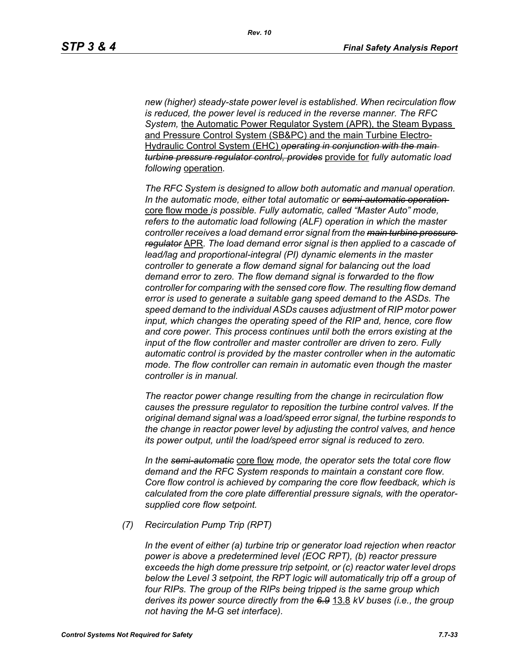*new (higher) steady-state power level is established. When recirculation flow is reduced, the power level is reduced in the reverse manner. The RFC System,* the Automatic Power Regulator System (APR), the Steam Bypass and Pressure Control System (SB&PC) and the main Turbine Electro-Hydraulic Control System (EHC) *operating in conjunction with the main turbine pressure regulator control, provides* provide for *fully automatic load following* operation*.* 

*The RFC System is designed to allow both automatic and manual operation. In the automatic mode, either total automatic or semi-automatic operation*  core flow mode *is possible. Fully automatic, called "Master Auto" mode, refers to the automatic load following (ALF) operation in which the master controller receives a load demand error signal from the main turbine pressure regulator* APR*. The load demand error signal is then applied to a cascade of lead/lag and proportional-integral (PI) dynamic elements in the master controller to generate a flow demand signal for balancing out the load demand error to zero. The flow demand signal is forwarded to the flow controller for comparing with the sensed core flow. The resulting flow demand error is used to generate a suitable gang speed demand to the ASDs. The speed demand to the individual ASDs causes adjustment of RIP motor power input, which changes the operating speed of the RIP and, hence, core flow and core power. This process continues until both the errors existing at the input of the flow controller and master controller are driven to zero. Fully automatic control is provided by the master controller when in the automatic mode. The flow controller can remain in automatic even though the master controller is in manual.*

*The reactor power change resulting from the change in recirculation flow causes the pressure regulator to reposition the turbine control valves. If the original demand signal was a load/speed error signal, the turbine responds to the change in reactor power level by adjusting the control valves, and hence its power output, until the load/speed error signal is reduced to zero.*

*In the semi-automatic* core flow *mode, the operator sets the total core flow demand and the RFC System responds to maintain a constant core flow. Core flow control is achieved by comparing the core flow feedback, which is calculated from the core plate differential pressure signals, with the operatorsupplied core flow setpoint.*

*(7) Recirculation Pump Trip (RPT)*

*In the event of either (a) turbine trip or generator load rejection when reactor power is above a predetermined level (EOC RPT), (b) reactor pressure exceeds the high dome pressure trip setpoint, or (c) reactor water level drops below the Level 3 setpoint, the RPT logic will automatically trip off a group of four RIPs. The group of the RIPs being tripped is the same group which derives its power source directly from the 6.9* 13.8 *kV buses (i.e., the group not having the M-G set interface).*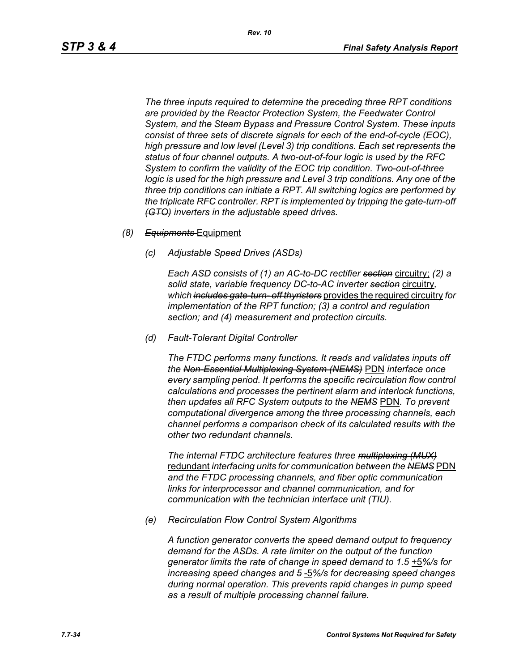*The three inputs required to determine the preceding three RPT conditions are provided by the Reactor Protection System, the Feedwater Control System, and the Steam Bypass and Pressure Control System. These inputs consist of three sets of discrete signals for each of the end-of-cycle (EOC), high pressure and low level (Level 3) trip conditions. Each set represents the status of four channel outputs. A two-out-of-four logic is used by the RFC System to confirm the validity of the EOC trip condition. Two-out-of-three logic is used for the high pressure and Level 3 trip conditions. Any one of the three trip conditions can initiate a RPT. All switching logics are performed by the triplicate RFC controller. RPT is implemented by tripping the gate-turn-off (GTO) inverters in the adjustable speed drives.*

#### *(8) Equipments* Equipment

*(c) Adjustable Speed Drives (ASDs)*

*Each ASD consists of (1) an AC-to-DC rectifier section* circuitry; *(2) a solid state, variable frequency DC-to-AC inverter section* circuitry*, which includes gate-turn- off thyristers* provides the required circuitry *for implementation of the RPT function; (3) a control and regulation section; and (4) measurement and protection circuits.*

*(d) Fault-Tolerant Digital Controller*

*The FTDC performs many functions. It reads and validates inputs off the Non-Essential Multiplexing System (NEMS)* PDN *interface once every sampling period. It performs the specific recirculation flow control calculations and processes the pertinent alarm and interlock functions, then updates all RFC System outputs to the NEMS* PDN*. To prevent computational divergence among the three processing channels, each channel performs a comparison check of its calculated results with the other two redundant channels.*

*The internal FTDC architecture features three multiplexing (MUX)* redundant *interfacing units for communication between the NEMS* PDN *and the FTDC processing channels, and fiber optic communication links for interprocessor and channel communication, and for communication with the technician interface unit (TIU).*

*(e) Recirculation Flow Control System Algorithms*

*A function generator converts the speed demand output to frequency demand for the ASDs. A rate limiter on the output of the function generator limits the rate of change in speed demand to 1.5* +5*%/s for increasing speed changes and 5* -5*%/s for decreasing speed changes during normal operation. This prevents rapid changes in pump speed as a result of multiple processing channel failure.*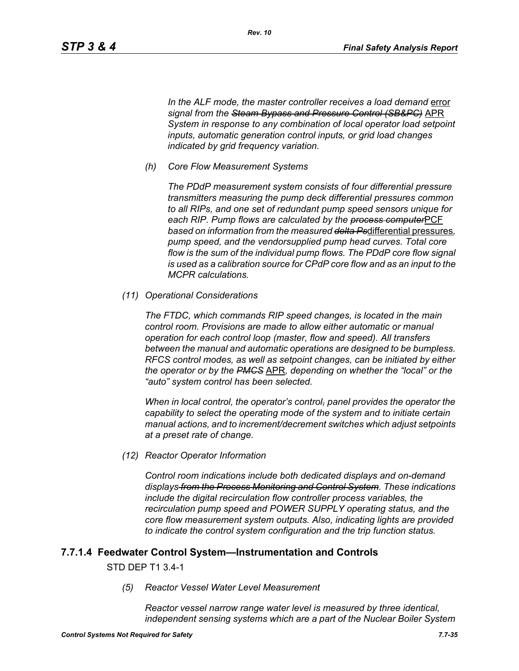In the ALF mode, the master controller receives a load demand error *signal from the Steam Bypass and Pressure Control (SB&PC)* APR *System in response to any combination of local operator load setpoint inputs, automatic generation control inputs, or grid load changes indicated by grid frequency variation.*

*(h) Core Flow Measurement Systems*

*The PDdP measurement system consists of four differential pressure transmitters measuring the pump deck differential pressures common to all RIPs, and one set of redundant pump speed sensors unique for each RIP. Pump flows are calculated by the process computer*PCF *based on information from the measured delta Ps*differential pressures*, pump speed, and the vendorsupplied pump head curves. Total core flow is the sum of the individual pump flows. The PDdP core flow signal is used as a calibration source for CPdP core flow and as an input to the MCPR calculations.*

*(11) Operational Considerations*

*The FTDC, which commands RIP speed changes, is located in the main control room. Provisions are made to allow either automatic or manual operation for each control loop (master, flow and speed). All transfers between the manual and automatic operations are designed to be bumpless. RFCS control modes, as well as setpoint changes, can be initiated by either the operator or by the PMCS* APR*, depending on whether the "local" or the "auto" system control has been selected.*

*When in local control, the operator's control, panel provides the operator the capability to select the operating mode of the system and to initiate certain manual actions, and to increment/decrement switches which adjust setpoints at a preset rate of change.*

*(12) Reactor Operator Information*

*Control room indications include both dedicated displays and on-demand displays from the Process Monitoring and Control System. These indications include the digital recirculation flow controller process variables, the recirculation pump speed and POWER SUPPLY operating status, and the core flow measurement system outputs. Also, indicating lights are provided to indicate the control system configuration and the trip function status.*

## **7.7.1.4 Feedwater Control System—Instrumentation and Controls**

#### STD DEP T1 3.4-1

*(5) Reactor Vessel Water Level Measurement* 

*Reactor vessel narrow range water level is measured by three identical, independent sensing systems which are a part of the Nuclear Boiler System*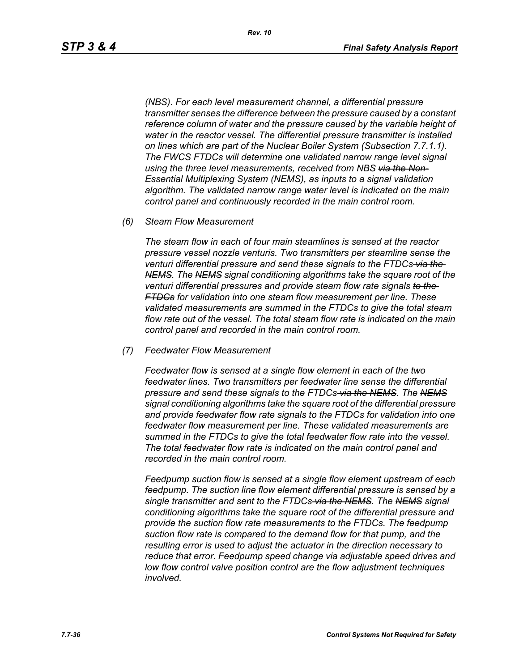*(NBS). For each level measurement channel, a differential pressure transmitter senses the difference between the pressure caused by a constant reference column of water and the pressure caused by the variable height of water in the reactor vessel. The differential pressure transmitter is installed on lines which are part of the Nuclear Boiler System (Subsection 7.7.1.1). The FWCS FTDCs will determine one validated narrow range level signal using the three level measurements, received from NBS via the Non-Essential Multiplexing System (NEMS), as inputs to a signal validation algorithm. The validated narrow range water level is indicated on the main control panel and continuously recorded in the main control room.*

*(6) Steam Flow Measurement*

*The steam flow in each of four main steamlines is sensed at the reactor pressure vessel nozzle venturis. Two transmitters per steamline sense the venturi differential pressure and send these signals to the FTDCs via the NEMS. The NEMS signal conditioning algorithms take the square root of the venturi differential pressures and provide steam flow rate signals to the FTDCs for validation into one steam flow measurement per line. These validated measurements are summed in the FTDCs to give the total steam flow rate out of the vessel. The total steam flow rate is indicated on the main control panel and recorded in the main control room.*

*(7) Feedwater Flow Measurement*

*Feedwater flow is sensed at a single flow element in each of the two feedwater lines. Two transmitters per feedwater line sense the differential pressure and send these signals to the FTDCs via the NEMS. The NEMS signal conditioning algorithms take the square root of the differential pressure and provide feedwater flow rate signals to the FTDCs for validation into one feedwater flow measurement per line. These validated measurements are summed in the FTDCs to give the total feedwater flow rate into the vessel. The total feedwater flow rate is indicated on the main control panel and recorded in the main control room.*

*Feedpump suction flow is sensed at a single flow element upstream of each feedpump. The suction line flow element differential pressure is sensed by a single transmitter and sent to the FTDCs via the NEMS. The NEMS signal conditioning algorithms take the square root of the differential pressure and provide the suction flow rate measurements to the FTDCs. The feedpump suction flow rate is compared to the demand flow for that pump, and the resulting error is used to adjust the actuator in the direction necessary to reduce that error. Feedpump speed change via adjustable speed drives and low flow control valve position control are the flow adjustment techniques involved.*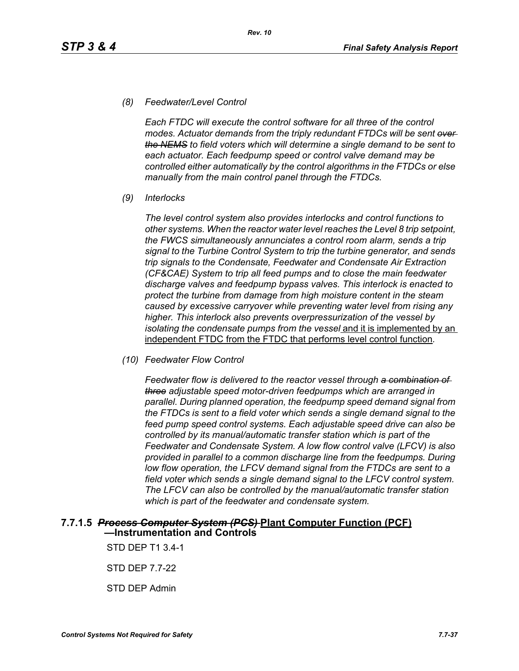#### *(8) Feedwater/Level Control*

*Each FTDC will execute the control software for all three of the control modes. Actuator demands from the triply redundant FTDCs will be sent over the NEMS to field voters which will determine a single demand to be sent to each actuator. Each feedpump speed or control valve demand may be controlled either automatically by the control algorithms in the FTDCs or else manually from the main control panel through the FTDCs.*

*(9) Interlocks*

*The level control system also provides interlocks and control functions to other systems. When the reactor water level reaches the Level 8 trip setpoint, the FWCS simultaneously annunciates a control room alarm, sends a trip signal to the Turbine Control System to trip the turbine generator, and sends trip signals to the Condensate, Feedwater and Condensate Air Extraction (CF&CAE) System to trip all feed pumps and to close the main feedwater discharge valves and feedpump bypass valves. This interlock is enacted to protect the turbine from damage from high moisture content in the steam caused by excessive carryover while preventing water level from rising any higher. This interlock also prevents overpressurization of the vessel by isolating the condensate pumps from the vessel* and it is implemented by an independent FTDC from the FTDC that performs level control function*.*

*(10) Feedwater Flow Control*

*Feedwater flow is delivered to the reactor vessel through a combination of three adjustable speed motor-driven feedpumps which are arranged in parallel. During planned operation, the feedpump speed demand signal from the FTDCs is sent to a field voter which sends a single demand signal to the feed pump speed control systems. Each adjustable speed drive can also be controlled by its manual/automatic transfer station which is part of the Feedwater and Condensate System. A low flow control valve (LFCV) is also provided in parallel to a common discharge line from the feedpumps. During low flow operation, the LFCV demand signal from the FTDCs are sent to a field voter which sends a single demand signal to the LFCV control system. The LFCV can also be controlled by the manual/automatic transfer station which is part of the feedwater and condensate system.*

#### **7.7.1.5** *Process Computer System (PCS)* **Plant Computer Function (PCF) —Instrumentation and Controls**

STD DEP T1 3.4-1

STD DEP 7.7-22

STD DEP Admin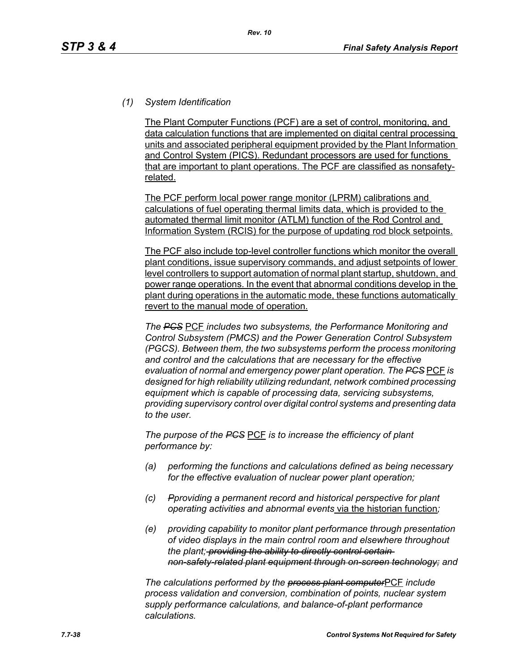## *(1) System Identification*

The Plant Computer Functions (PCF) are a set of control, monitoring, and data calculation functions that are implemented on digital central processing units and associated peripheral equipment provided by the Plant Information and Control System (PICS). Redundant processors are used for functions that are important to plant operations. The PCF are classified as nonsafetyrelated.

The PCF perform local power range monitor (LPRM) calibrations and calculations of fuel operating thermal limits data, which is provided to the automated thermal limit monitor (ATLM) function of the Rod Control and Information System (RCIS) for the purpose of updating rod block setpoints.

The PCF also include top-level controller functions which monitor the overall plant conditions, issue supervisory commands, and adjust setpoints of lower level controllers to support automation of normal plant startup, shutdown, and power range operations. In the event that abnormal conditions develop in the plant during operations in the automatic mode, these functions automatically revert to the manual mode of operation.

*The PCS* PCF *includes two subsystems, the Performance Monitoring and Control Subsystem (PMCS) and the Power Generation Control Subsystem (PGCS). Between them, the two subsystems perform the process monitoring and control and the calculations that are necessary for the effective evaluation of normal and emergency power plant operation. The PCS* PCF *is designed for high reliability utilizing redundant, network combined processing equipment which is capable of processing data, servicing subsystems, providing supervisory control over digital control systems and presenting data to the user.*

*The purpose of the PCS* PCF *is to increase the efficiency of plant performance by:*

- *(a) performing the functions and calculations defined as being necessary for the effective evaluation of nuclear power plant operation;*
- *(c) Pproviding a permanent record and historical perspective for plant operating activities and abnormal events* via the historian function*;*
- *(e) providing capability to monitor plant performance through presentation of video displays in the main control room and elsewhere throughout the plant; providing the ability to directly control certain non-safety-related plant equipment through on-screen technology; and*

*The calculations performed by the process plant computer*PCF *include process validation and conversion, combination of points, nuclear system supply performance calculations, and balance-of-plant performance calculations.*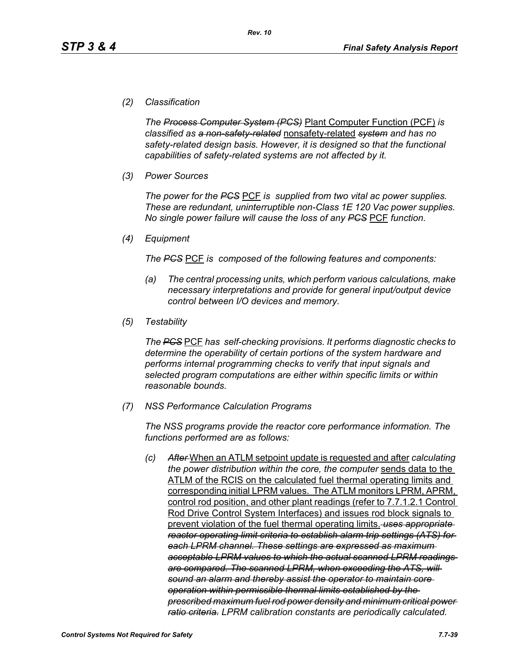#### *(2) Classification*

*The Process Computer System (PCS)* Plant Computer Function (PCF) *is classified as a non-safety-related* nonsafety-related *system and has no safety-related design basis. However, it is designed so that the functional capabilities of safety-related systems are not affected by it.*

*(3) Power Sources*

*The power for the PCS* PCF *is supplied from two vital ac power supplies. These are redundant, uninterruptible non-Class 1E 120 Vac power supplies. No single power failure will cause the loss of any PCS* PCF *function.*

*(4) Equipment*

*The PCS* PCF *is composed of the following features and components:*

- *(a) The central processing units, which perform various calculations, make necessary interpretations and provide for general input/output device control between I/O devices and memory.*
- *(5) Testability*

*The PCS* PCF *has self-checking provisions. It performs diagnostic checks to determine the operability of certain portions of the system hardware and performs internal programming checks to verify that input signals and selected program computations are either within specific limits or within reasonable bounds.*

*(7) NSS Performance Calculation Programs*

*The NSS programs provide the reactor core performance information. The functions performed are as follows:*

*(c) After* When an ATLM setpoint update is requested and after *calculating the power distribution within the core, the computer* sends data to the ATLM of the RCIS on the calculated fuel thermal operating limits and corresponding initial LPRM values. The ATLM monitors LPRM, APRM, control rod position, and other plant readings (refer to 7.7.1.2.1 Control Rod Drive Control System Interfaces) and issues rod block signals to prevent violation of the fuel thermal operating limits. *uses appropriate reactor operating limit criteria to establish alarm trip settings (ATS) for each LPRM channel. These settings are expressed as maximum acceptable LPRM values to which the actual scanned LPRM readings are compared. The scanned LPRM, when exceeding the ATS, will sound an alarm and thereby assist the operator to maintain core operation within permissible thermal limits established by the prescribed maximum fuel rod power density and minimum critical power ratio criteria. LPRM calibration constants are periodically calculated.*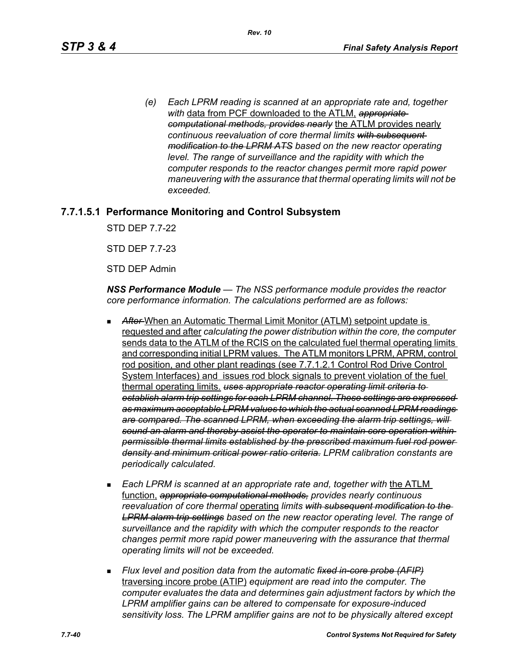*(e) Each LPRM reading is scanned at an appropriate rate and, together with* data from PCF downloaded to the ATLM, *appropriate computational methods, provides nearly* the ATLM provides nearly *continuous reevaluation of core thermal limits with subsequent modification to the LPRM ATS based on the new reactor operating level. The range of surveillance and the rapidity with which the computer responds to the reactor changes permit more rapid power maneuvering with the assurance that thermal operating limits will not be exceeded.*

# **7.7.1.5.1 Performance Monitoring and Control Subsystem**

STD DEP 7.7-22

STD DEP 7.7-23

STD DEP Admin

*NSS Performance Module — The NSS performance module provides the reactor core performance information. The calculations performed are as follows:*

- After-When an Automatic Thermal Limit Monitor (ATLM) setpoint update is requested and after *calculating the power distribution within the core, the computer*  sends data to the ATLM of the RCIS on the calculated fuel thermal operating limits and corresponding initial LPRM values. The ATLM monitors LPRM, APRM, control rod position, and other plant readings (see 7.7.1.2.1 Control Rod Drive Control System Interfaces) and issues rod block signals to prevent violation of the fuel thermal operating limits. *uses appropriate reactor operating limit criteria to establish alarm trip settings for each LPRM channel. These settings are expressed as maximum acceptable LPRM values to which the actual scanned LPRM readings are compared. The scanned LPRM, when exceeding the alarm trip settings, will sound an alarm and thereby assist the operator to maintain core operation within permissible thermal limits established by the prescribed maximum fuel rod power density and minimum critical power ratio criteria. LPRM calibration constants are periodically calculated.*
- **Each LPRM is scanned at an appropriate rate and, together with the ATLM** function, *appropriate computational methods, provides nearly continuous reevaluation of core thermal* operating *limits with subsequent modification to the LPRM alarm trip settings based on the new reactor operating level. The range of surveillance and the rapidity with which the computer responds to the reactor changes permit more rapid power maneuvering with the assurance that thermal operating limits will not be exceeded.*
- *Flux level and position data from the automatic fixed in-core probe (AFIP)* traversing incore probe (ATIP) *equipment are read into the computer. The computer evaluates the data and determines gain adjustment factors by which the LPRM amplifier gains can be altered to compensate for exposure-induced sensitivity loss. The LPRM amplifier gains are not to be physically altered except*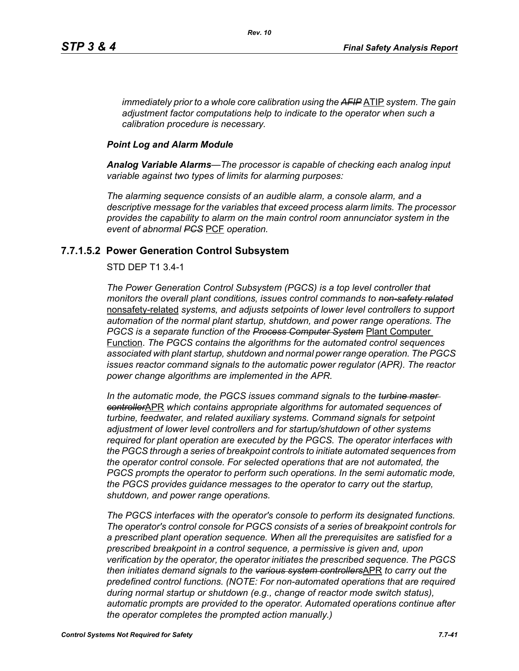*immediately prior to a whole core calibration using the AFIP* ATIP *system. The gain adjustment factor computations help to indicate to the operator when such a calibration procedure is necessary.*

#### *Point Log and Alarm Module*

*Analog Variable Alarms—The processor is capable of checking each analog input variable against two types of limits for alarming purposes:*

*The alarming sequence consists of an audible alarm, a console alarm, and a descriptive message for the variables that exceed process alarm limits. The processor provides the capability to alarm on the main control room annunciator system in the event of abnormal PCS* PCF *operation.*

## **7.7.1.5.2 Power Generation Control Subsystem**

#### STD DEP T1 3.4-1

*The Power Generation Control Subsystem (PGCS) is a top level controller that monitors the overall plant conditions, issues control commands to non-safety related* nonsafety-related *systems, and adjusts setpoints of lower level controllers to support automation of the normal plant startup, shutdown, and power range operations. The PGCS is a separate function of the Process Computer System* Plant Computer Function. *The PGCS contains the algorithms for the automated control sequences associated with plant startup, shutdown and normal power range operation. The PGCS issues reactor command signals to the automatic power regulator (APR). The reactor power change algorithms are implemented in the APR.*

*In the automatic mode, the PGCS issues command signals to the turbine master controller*APR *which contains appropriate algorithms for automated sequences of turbine, feedwater, and related auxiliary systems. Command signals for setpoint adjustment of lower level controllers and for startup/shutdown of other systems required for plant operation are executed by the PGCS. The operator interfaces with the PGCS through a series of breakpoint controls to initiate automated sequences from the operator control console. For selected operations that are not automated, the PGCS prompts the operator to perform such operations. In the semi automatic mode, the PGCS provides guidance messages to the operator to carry out the startup, shutdown, and power range operations.*

*The PGCS interfaces with the operator's console to perform its designated functions. The operator's control console for PGCS consists of a series of breakpoint controls for a prescribed plant operation sequence. When all the prerequisites are satisfied for a prescribed breakpoint in a control sequence, a permissive is given and, upon verification by the operator, the operator initiates the prescribed sequence. The PGCS then initiates demand signals to the various system controllers*APR *to carry out the predefined control functions. (NOTE: For non-automated operations that are required during normal startup or shutdown (e.g., change of reactor mode switch status), automatic prompts are provided to the operator. Automated operations continue after the operator completes the prompted action manually.)*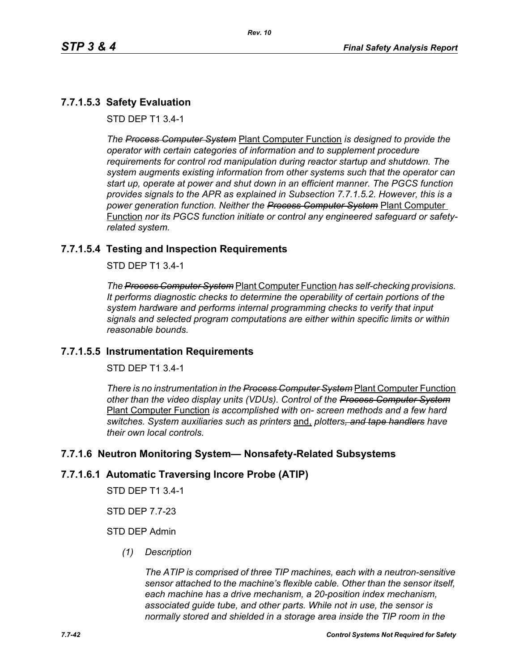# **7.7.1.5.3 Safety Evaluation**

STD DEP T1 3.4-1

*The Process Computer System* Plant Computer Function *is designed to provide the operator with certain categories of information and to supplement procedure requirements for control rod manipulation during reactor startup and shutdown. The system augments existing information from other systems such that the operator can start up, operate at power and shut down in an efficient manner. The PGCS function provides signals to the APR as explained in Subsection 7.7.1.5.2. However, this is a power generation function. Neither the Process Computer System* Plant Computer Function *nor its PGCS function initiate or control any engineered safeguard or safetyrelated system.*

#### **7.7.1.5.4 Testing and Inspection Requirements**

STD DEP T1 3.4-1

*The Process Computer System* Plant Computer Function *has self-checking provisions. It performs diagnostic checks to determine the operability of certain portions of the system hardware and performs internal programming checks to verify that input signals and selected program computations are either within specific limits or within reasonable bounds.*

#### **7.7.1.5.5 Instrumentation Requirements**

STD DEP T1 3.4-1

*There is no instrumentation in the Process Computer System* Plant Computer Function *other than the video display units (VDUs). Control of the Process Computer System* Plant Computer Function *is accomplished with on- screen methods and a few hard switches. System auxiliaries such as printers* and, *plotters, and tape handlers have their own local controls.*

#### **7.7.1.6 Neutron Monitoring System— Nonsafety-Related Subsystems**

#### **7.7.1.6.1 Automatic Traversing Incore Probe (ATIP)**

STD DEP T1 3.4-1

STD DEP 7.7-23

#### STD DEP Admin

*(1) Description*

*The ATIP is comprised of three TIP machines, each with a neutron-sensitive sensor attached to the machine's flexible cable. Other than the sensor itself, each machine has a drive mechanism, a 20-position index mechanism, associated guide tube, and other parts. While not in use, the sensor is normally stored and shielded in a storage area inside the TIP room in the*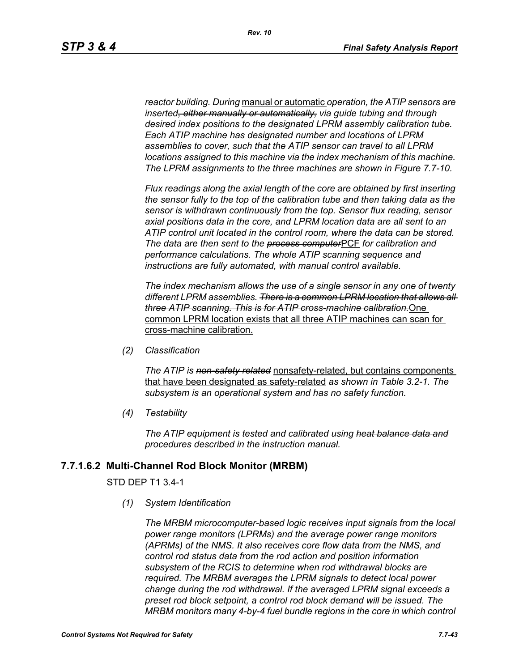*reactor building. During* manual or automatic *operation, the ATIP sensors are inserted, either manually or automatically, via guide tubing and through desired index positions to the designated LPRM assembly calibration tube. Each ATIP machine has designated number and locations of LPRM assemblies to cover, such that the ATIP sensor can travel to all LPRM locations assigned to this machine via the index mechanism of this machine. The LPRM assignments to the three machines are shown in Figure 7.7-10.*

*Flux readings along the axial length of the core are obtained by first inserting the sensor fully to the top of the calibration tube and then taking data as the sensor is withdrawn continuously from the top. Sensor flux reading, sensor axial positions data in the core, and LPRM location data are all sent to an ATIP control unit located in the control room, where the data can be stored. The data are then sent to the process computer*PCF *for calibration and performance calculations. The whole ATIP scanning sequence and instructions are fully automated, with manual control available.*

*The index mechanism allows the use of a single sensor in any one of twenty different LPRM assemblies. There is a common LPRM location that allows all three ATIP scanning. This is for ATIP cross-machine calibration.*One common LPRM location exists that all three ATIP machines can scan for cross-machine calibration.

*(2) Classification*

*The ATIP is non-safety related* nonsafety-related, but contains components that have been designated as safety-related *as shown in Table 3.2-1. The subsystem is an operational system and has no safety function.*

*(4) Testability*

*The ATIP equipment is tested and calibrated using heat balance data and procedures described in the instruction manual.*

#### **7.7.1.6.2 Multi-Channel Rod Block Monitor (MRBM)**

#### STD DEP T1 3.4-1

*(1) System Identification*

*The MRBM microcomputer-based logic receives input signals from the local power range monitors (LPRMs) and the average power range monitors (APRMs) of the NMS. It also receives core flow data from the NMS, and control rod status data from the rod action and position information subsystem of the RCIS to determine when rod withdrawal blocks are required. The MRBM averages the LPRM signals to detect local power change during the rod withdrawal. If the averaged LPRM signal exceeds a preset rod block setpoint, a control rod block demand will be issued. The MRBM monitors many 4-by-4 fuel bundle regions in the core in which control*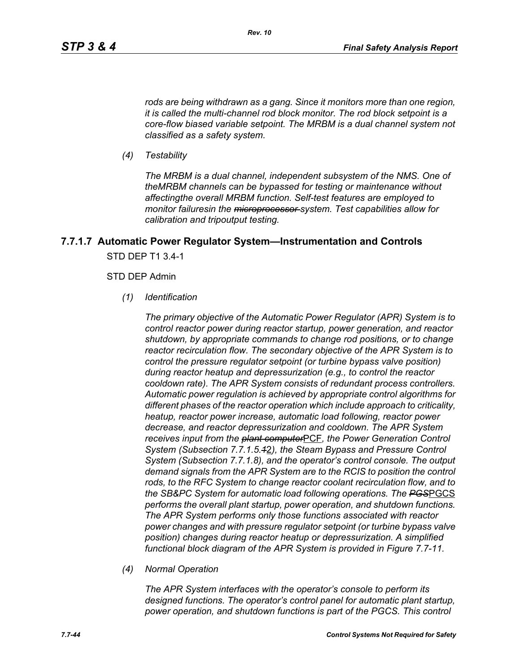*rods are being withdrawn as a gang. Since it monitors more than one region, it is called the multi-channel rod block monitor. The rod block setpoint is a core-flow biased variable setpoint. The MRBM is a dual channel system not classified as a safety system.*

*(4) Testability*

*The MRBM is a dual channel, independent subsystem of the NMS. One of theMRBM channels can be bypassed for testing or maintenance without affectingthe overall MRBM function. Self-test features are employed to monitor failuresin the microprocessor system. Test capabilities allow for calibration and tripoutput testing.*

# **7.7.1.7 Automatic Power Regulator System—Instrumentation and Controls** STD DEP T1 3.4-1

#### STD DEP Admin

*(1) Identification*

*The primary objective of the Automatic Power Regulator (APR) System is to control reactor power during reactor startup, power generation, and reactor shutdown, by appropriate commands to change rod positions, or to change reactor recirculation flow. The secondary objective of the APR System is to control the pressure regulator setpoint (or turbine bypass valve position) during reactor heatup and depressurization (e.g., to control the reactor cooldown rate). The APR System consists of redundant process controllers. Automatic power regulation is achieved by appropriate control algorithms for different phases of the reactor operation which include approach to criticality, heatup, reactor power increase, automatic load following, reactor power decrease, and reactor depressurization and cooldown. The APR System receives input from the plant computer*PCF*, the Power Generation Control System (Subsection 7.7.1.5.1*2*), the Steam Bypass and Pressure Control System (Subsection 7.7.1.8), and the operator's control console. The output demand signals from the APR System are to the RCIS to position the control rods, to the RFC System to change reactor coolant recirculation flow, and to the SB&PC System for automatic load following operations. The PGS*PGCS *performs the overall plant startup, power operation, and shutdown functions. The APR System performs only those functions associated with reactor power changes and with pressure regulator setpoint (or turbine bypass valve position) changes during reactor heatup or depressurization. A simplified functional block diagram of the APR System is provided in Figure 7.7-11.*

*(4) Normal Operation*

*The APR System interfaces with the operator's console to perform its designed functions. The operator's control panel for automatic plant startup, power operation, and shutdown functions is part of the PGCS. This control*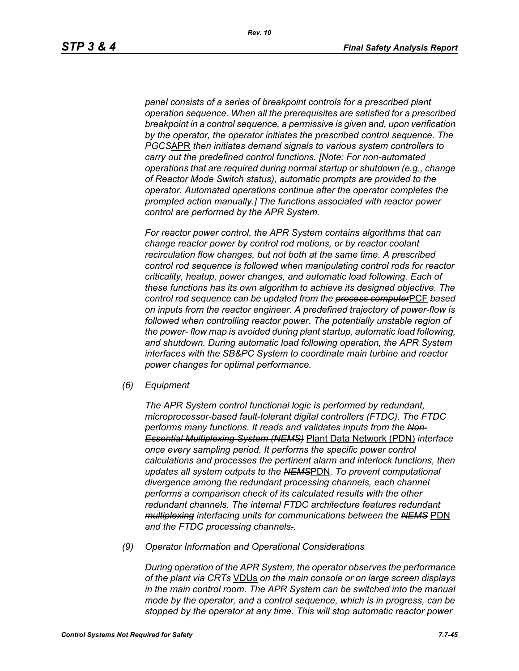*panel consists of a series of breakpoint controls for a prescribed plant operation sequence. When all the prerequisites are satisfied for a prescribed breakpoint in a control sequence, a permissive is given and, upon verification by the operator, the operator initiates the prescribed control sequence. The PGCS*APR *then initiates demand signals to various system controllers to carry out the predefined control functions. [Note: For non-automated operations that are required during normal startup or shutdown (e.g., change of Reactor Mode Switch status), automatic prompts are provided to the operator. Automated operations continue after the operator completes the prompted action manually.] The functions associated with reactor power control are performed by the APR System.*

*For reactor power control, the APR System contains algorithms that can change reactor power by control rod motions, or by reactor coolant recirculation flow changes, but not both at the same time. A prescribed control rod sequence is followed when manipulating control rods for reactor criticality, heatup, power changes, and automatic load following. Each of these functions has its own algorithm to achieve its designed objective. The control rod sequence can be updated from the process computer*PCF *based on inputs from the reactor engineer. A predefined trajectory of power-flow is followed when controlling reactor power. The potentially unstable region of the power- flow map is avoided during plant startup, automatic load following, and shutdown. During automatic load following operation, the APR System interfaces with the SB&PC System to coordinate main turbine and reactor power changes for optimal performance.*

*(6) Equipment*

*The APR System control functional logic is performed by redundant, microprocessor-based fault-tolerant digital controllers (FTDC). The FTDC performs many functions. It reads and validates inputs from the Non-Essential Multiplexing System (NEMS)* Plant Data Network (PDN) *interface once every sampling period. It performs the specific power control calculations and processes the pertinent alarm and interlock functions, then updates all system outputs to the NEMS*PDN*. To prevent computational divergence among the redundant processing channels, each channel performs a comparison check of its calculated results with the other redundant channels. The internal FTDC architecture features redundant multiplexing interfacing units for communications between the NEMS* PDN *and the FTDC processing channels..*

*(9) Operator Information and Operational Considerations*

*During operation of the APR System, the operator observes the performance of the plant via CRTs* VDUs *on the main console or on large screen displays in the main control room. The APR System can be switched into the manual mode by the operator, and a control sequence, which is in progress, can be stopped by the operator at any time. This will stop automatic reactor power*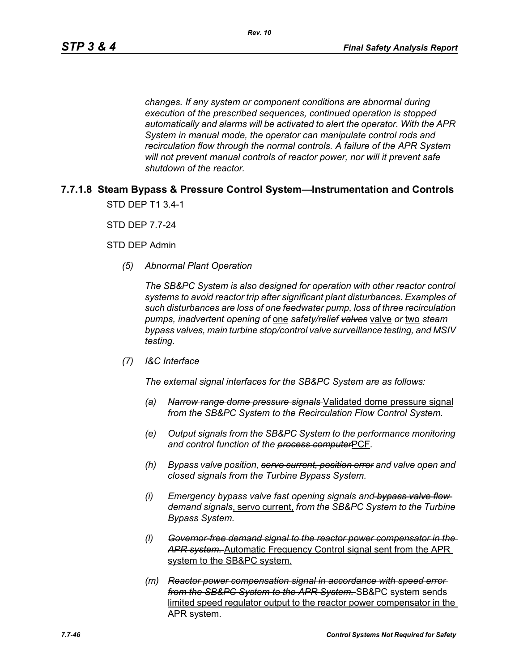*changes. If any system or component conditions are abnormal during execution of the prescribed sequences, continued operation is stopped automatically and alarms will be activated to alert the operator. With the APR System in manual mode, the operator can manipulate control rods and recirculation flow through the normal controls. A failure of the APR System will not prevent manual controls of reactor power, nor will it prevent safe shutdown of the reactor.*

## **7.7.1.8 Steam Bypass & Pressure Control System—Instrumentation and Controls** STD DEP T1 3.4-1

STD DEP 7.7-24

STD DEP Admin

*(5) Abnormal Plant Operation*

*The SB&PC System is also designed for operation with other reactor control systems to avoid reactor trip after significant plant disturbances. Examples of such disturbances are loss of one feedwater pump, loss of three recirculation pumps, inadvertent opening of* one *safety/relief valves* valve *or* two *steam bypass valves, main turbine stop/control valve surveillance testing, and MSIV testing.*

*(7) I&C Interface*

*The external signal interfaces for the SB&PC System are as follows:*

- *(a) Narrow range dome pressure signals* Validated dome pressure signal *from the SB&PC System to the Recirculation Flow Control System.*
- *(e) Output signals from the SB&PC System to the performance monitoring and control function of the process computer*PCF*.*
- *(h) Bypass valve position, servo current, position error and valve open and closed signals from the Turbine Bypass System.*
- *(i) Emergency bypass valve fast opening signals and bypass valve flow demand signals*, servo current, *from the SB&PC System to the Turbine Bypass System.*
- *(l) Governor-free demand signal to the reactor power compensator in the APR system.* Automatic Frequency Control signal sent from the APR system to the SB&PC system.
- *(m) Reactor power compensation signal in accordance with speed error from the SB&PC System to the APR System.* SB&PC system sends limited speed regulator output to the reactor power compensator in the APR system.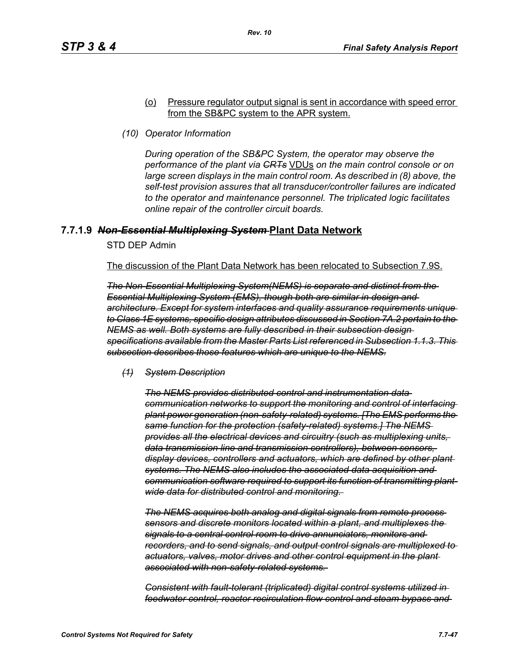#### (o) Pressure regulator output signal is sent in accordance with speed error from the SB&PC system to the APR system.

*(10) Operator Information*

*During operation of the SB&PC System, the operator may observe the performance of the plant via CRTs* VDUs *on the main control console or on large screen displays in the main control room. As described in (8) above, the self-test provision assures that all transducer/controller failures are indicated to the operator and maintenance personnel. The triplicated logic facilitates online repair of the controller circuit boards.*

## **7.7.1.9** *Non-Essential Multiplexing System* **Plant Data Network**

STD DEP Admin

The discussion of the Plant Data Network has been relocated to Subsection 7.9S.

*The Non-Essential Multiplexing System(NEMS) is separate and distinct from the Essential Multiplexing System (EMS), though both are similar in design and architecture. Except for system interfaces and quality assurance requirements unique to Class 1E systems, specific design attributes discussed in Section 7A.2 pertain to the NEMS as well. Both systems are fully described in their subsection design specifications available from the Master Parts List referenced in Subsection 1.1.3. This subsection describes those features which are unique to the NEMS.*

*(1) System Description*

*The NEMS provides distributed control and instrumentation data communication networks to support the monitoring and control of interfacing plant power generation (non-safety-related) systems. [The EMS performs the same function for the protection (safety-related) systems.] The NEMS provides all the electrical devices and circuitry (such as multiplexing units, data transmission line and transmission controllers), between sensors, display devices, controllers and actuators, which are defined by other plant systems. The NEMS also includes the associated data acquisition and communication software required to support its function of transmitting plantwide data for distributed control and monitoring.* 

*The NEMS acquires both analog and digital signals from remote process sensors and discrete monitors located within a plant, and multiplexes the signals to a central control room to drive annunciators, monitors and recorders, and to send signals, and output control signals are multiplexed to actuators, valves, motor drives and other control equipment in the plant associated with non-safety-related systems.* 

*Consistent with fault-tolerant (triplicated) digital control systems utilized in feedwater control, reactor recirculation flow control and steam bypass and*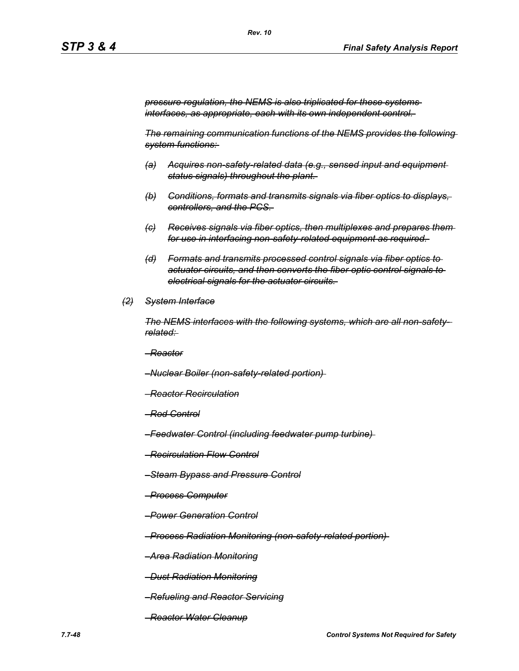*pressure regulation, the NEMS is also triplicated for these systems interfaces, as appropriate, each with its own independent control.* 

*The remaining communication functions of the NEMS provides the following system functions:* 

- *(a) Acquires non-safety-related data (e.g., sensed input and equipment status signals) throughout the plant.*
- *(b) Conditions, formats and transmits signals via fiber optics to displays, controllers, and the PCS.*
- *(c) Receives signals via fiber optics, then multiplexes and prepares them for use in interfacing non-safety-related equipment as required.*
- *(d) Formats and transmits processed control signals via fiber optics to actuator circuits, and then converts the fiber optic control signals to electrical signals for the actuator circuits.*
- *(2) System Interface*

*The NEMS interfaces with the following systems, which are all non-safetyrelated:* 

*–Reactor*

*–Nuclear Boiler (non-safety-related portion)* 

- *–Reactor Recirculation*
- *–Rod Control*
- *–Feedwater Control (including feedwater pump turbine)*
- *–Recirculation Flow Control*
- *–Steam Bypass and Pressure Control*
- *–Process Computer*
- *–Power Generation Control*

*–Process Radiation Monitoring (non-safety-related portion)* 

*–Area Radiation Monitoring*

*–Dust Radiation Monitoring*

- *–Refueling and Reactor Servicing*
- *–Reactor Water Cleanup*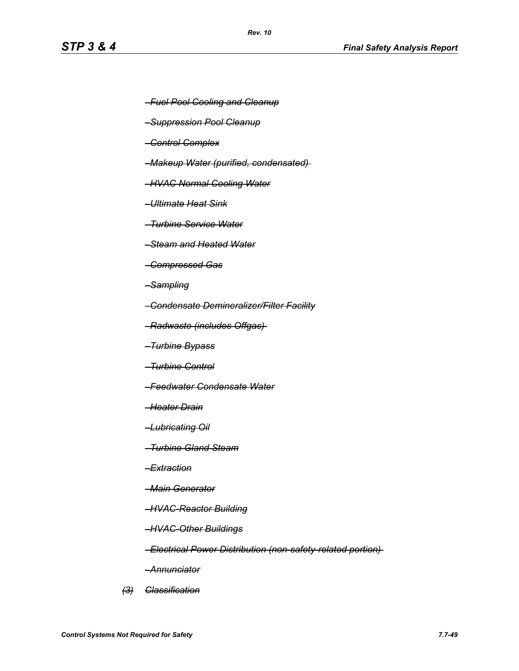- *–Fuel Pool Cooling and Cleanup*
- *–Suppression Pool Cleanup*
- *–Control Complex*
- *–Makeup Water (purified, condensated)*
- *–HVAC Normal Cooling Water*
- *–Ultimate Heat Sink*
- *–Turbine Service Water*
- *–Steam and Heated Water*
- *–Compressed Gas*
- *–Sampling*
- *–Condensate Demineralizer/Filter Facility*
- *–Radwaste (includes Offgas)*
- *–Turbine Bypass*
- *–Turbine Control*
- *–Feedwater Condensate Water*
- *–Heater Drain*
- *–Lubricating Oil*
- *–Turbine Gland Steam*
- *–Extraction*
- *–Main Generator*
- *–HVAC-Reactor Building*
- *–HVAC-Other Buildings*
- *–Electrical Power Distribution (non-safety-related portion)*
- *–Annunciator*
- *(3) Classification*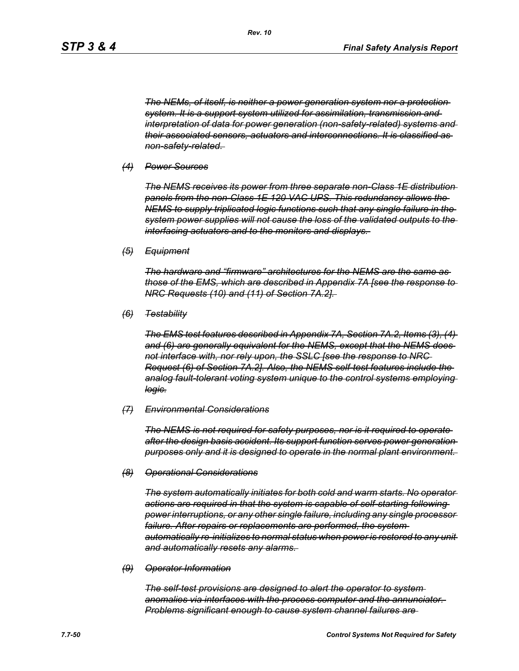*The NEMs, of itself, is neither a power generation system nor a protection system. It is a support system utilized for assimilation, transmission and interpretation of data for power generation (non-safety-related) systems and their associated sensors, actuators and interconnections. It is classified as non-safety-related.* 

#### *(4) Power Sources*

*The NEMS receives its power from three separate non-Class 1E distribution panels from the non-Class 1E 120 VAC UPS. This redundancy allows the NEMS to supply triplicated logic functions such that any single failure in the system power supplies will not cause the loss of the validated outputs to the interfacing actuators and to the monitors and displays.* 

*(5) Equipment*

*The hardware and "firmware" architectures for the NEMS are the same as those of the EMS, which are described in Appendix 7A [see the response to NRC Requests (10) and (11) of Section 7A.2].* 

*(6) Testability*

*The EMS test features described in Appendix 7A, Section 7A.2, Items (3), (4) and (6) are generally equivalent for the NEMS, except that the NEMS does not interface with, nor rely upon, the SSLC [see the response to NRC Request (6) of Section 7A.2]. Also, the NEMS self-test features include the analog fault-tolerant voting system unique to the control systems employing logic.*

#### *(7) Environmental Considerations*

*The NEMS is not required for safety purposes, nor is it required to operate after the design basis accident. Its support function serves power generation purposes only and it is designed to operate in the normal plant environment.* 

#### *(8) Operational Considerations*

*The system automatically initiates for both cold and warm starts. No operator actions are required in that the system is capable of self-starting following power interruptions, or any other single failure, including any single processor failure. After repairs or replacements are performed, the system automatically re-initializes to normal status when power is restored to any unit and automatically resets any alarms.* 

#### *(9) Operator Information*

*The self-test provisions are designed to alert the operator to system anomalies via interfaces with the process computer and the annunciator. Problems significant enough to cause system channel failures are*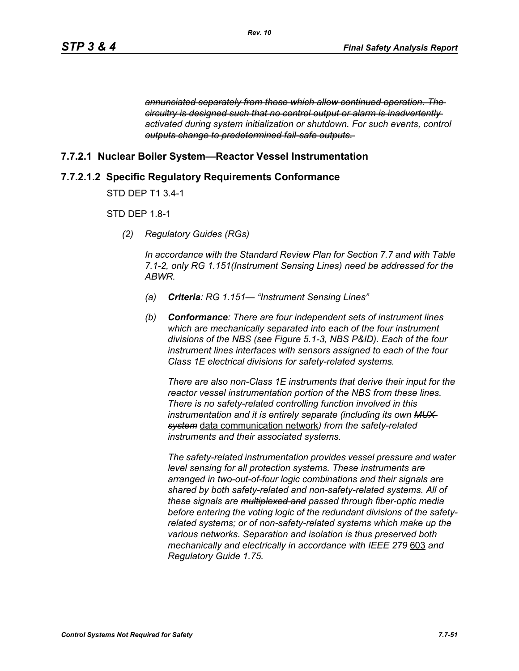*annunciated separately from those which allow continued operation. The circuitry is designed such that no control output or alarm is inadvertently activated during system initialization or shutdown. For such events, control outputs change to predetermined fail-safe outputs.* 

## **7.7.2.1 Nuclear Boiler System—Reactor Vessel Instrumentation**

# **7.7.2.1.2 Specific Regulatory Requirements Conformance**

STD DEP T1 3.4-1

## STD DEP 1.8-1

*(2) Regulatory Guides (RGs)*

*In accordance with the Standard Review Plan for Section 7.7 and with Table 7.1-2, only RG 1.151(Instrument Sensing Lines) need be addressed for the ABWR.*

- *(a) Criteria: RG 1.151— "Instrument Sensing Lines"*
- *(b) Conformance: There are four independent sets of instrument lines which are mechanically separated into each of the four instrument divisions of the NBS (see Figure 5.1-3, NBS P&ID). Each of the four instrument lines interfaces with sensors assigned to each of the four Class 1E electrical divisions for safety-related systems.*

*There are also non-Class 1E instruments that derive their input for the reactor vessel instrumentation portion of the NBS from these lines. There is no safety-related controlling function involved in this instrumentation and it is entirely separate (including its own MUX system* data communication network*) from the safety-related instruments and their associated systems.*

*The safety-related instrumentation provides vessel pressure and water level sensing for all protection systems. These instruments are arranged in two-out-of-four logic combinations and their signals are shared by both safety-related and non-safety-related systems. All of these signals are multiplexed and passed through fiber-optic media before entering the voting logic of the redundant divisions of the safetyrelated systems; or of non-safety-related systems which make up the various networks. Separation and isolation is thus preserved both mechanically and electrically in accordance with IEEE 279* 603 *and Regulatory Guide 1.75.*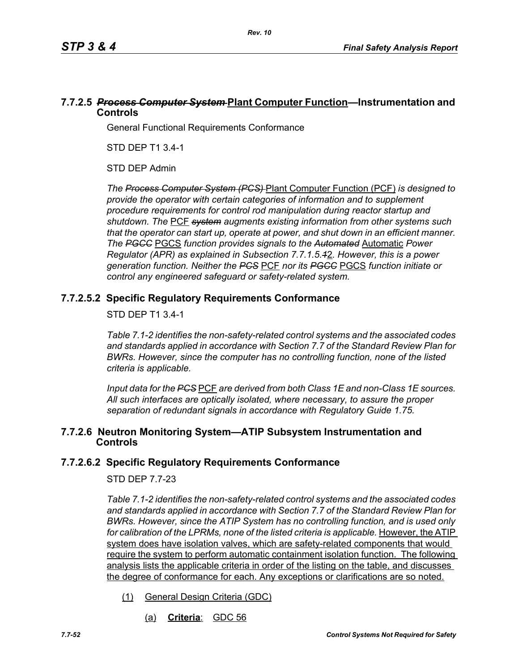## **7.7.2.5** *Process Computer System* **Plant Computer Function—Instrumentation and Controls**

General Functional Requirements Conformance

STD DEP T1 3.4-1

STD DEP Admin

*The Process Computer System (PCS)* Plant Computer Function (PCF) *is designed to provide the operator with certain categories of information and to supplement procedure requirements for control rod manipulation during reactor startup and shutdown. The* PCF *system augments existing information from other systems such that the operator can start up, operate at power, and shut down in an efficient manner. The PGCC* PGCS *function provides signals to the Automated* Automatic *Power Regulator (APR) as explained in Subsection 7.7.1.5.1*2*. However, this is a power generation function. Neither the PCS* PCF *nor its PGCC* PGCS *function initiate or control any engineered safeguard or safety-related system.*

# **7.7.2.5.2 Specific Regulatory Requirements Conformance**

## STD DEP T1 3.4-1

*Table 7.1-2 identifies the non-safety-related control systems and the associated codes and standards applied in accordance with Section 7.7 of the Standard Review Plan for BWRs. However, since the computer has no controlling function, none of the listed criteria is applicable.*

*Input data for the PCS* PCF *are derived from both Class 1E and non-Class 1E sources. All such interfaces are optically isolated, where necessary, to assure the proper separation of redundant signals in accordance with Regulatory Guide 1.75.*

## **7.7.2.6 Neutron Monitoring System—ATIP Subsystem Instrumentation and Controls**

## **7.7.2.6.2 Specific Regulatory Requirements Conformance**

## STD DEP 7.7-23

*Table 7.1-2 identifies the non-safety-related control systems and the associated codes and standards applied in accordance with Section 7.7 of the Standard Review Plan for BWRs. However, since the ATIP System has no controlling function, and is used only*  for calibration of the LPRMs, none of the listed criteria is applicable. However, the ATIP system does have isolation valves, which are safety-related components that would require the system to perform automatic containment isolation function. The following analysis lists the applicable criteria in order of the listing on the table, and discusses the degree of conformance for each. Any exceptions or clarifications are so noted.

- (1) General Design Criteria (GDC)
	- (a) **Criteria**: GDC 56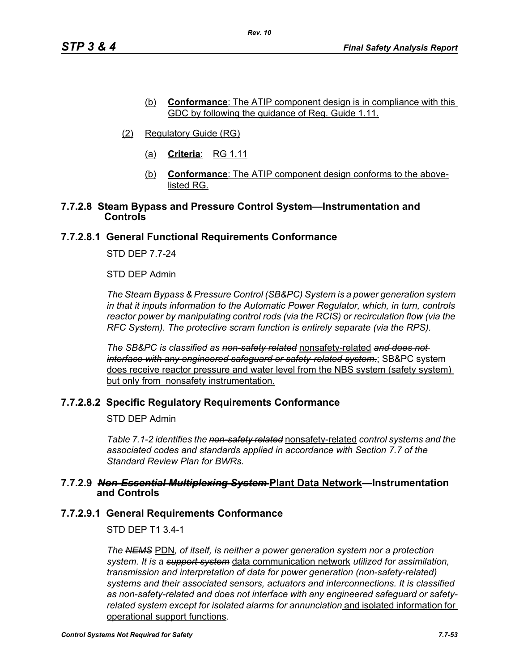- (b) **Conformance**: The ATIP component design is in compliance with this GDC by following the guidance of Reg. Guide 1.11.
- (2) Regulatory Guide (RG)
	- (a) **Criteria**: RG 1.11
	- (b) **Conformance**: The ATIP component design conforms to the abovelisted RG.

#### **7.7.2.8 Steam Bypass and Pressure Control System—Instrumentation and Controls**

## **7.7.2.8.1 General Functional Requirements Conformance**

STD DEP 7.7-24

STD DEP Admin

*The Steam Bypass & Pressure Control (SB&PC) System is a power generation system in that it inputs information to the Automatic Power Regulator, which, in turn, controls reactor power by manipulating control rods (via the RCIS) or recirculation flow (via the RFC System). The protective scram function is entirely separate (via the RPS).*

*The SB&PC is classified as non-safety related* nonsafety-related *and does not interface with any engineered safeguard or safety-related system.*; SB&PC system does receive reactor pressure and water level from the NBS system (safety system) but only from nonsafety instrumentation.

## **7.7.2.8.2 Specific Regulatory Requirements Conformance**

STD DEP Admin

*Table 7.1-2 identifies the non-safety related* nonsafety-related *control systems and the associated codes and standards applied in accordance with Section 7.7 of the Standard Review Plan for BWRs.* 

#### **7.7.2.9** *Non-Essential Multiplexing System* **Plant Data Network—Instrumentation and Controls**

#### **7.7.2.9.1 General Requirements Conformance**

STD DEP T1 3.4-1

*The NEMS* PDN*, of itself, is neither a power generation system nor a protection system. It is a support system* data communication network *utilized for assimilation, transmission and interpretation of data for power generation (non-safety-related) systems and their associated sensors, actuators and interconnections. It is classified as non-safety-related and does not interface with any engineered safeguard or safetyrelated system except for isolated alarms for annunciation* and isolated information for operational support functions*.*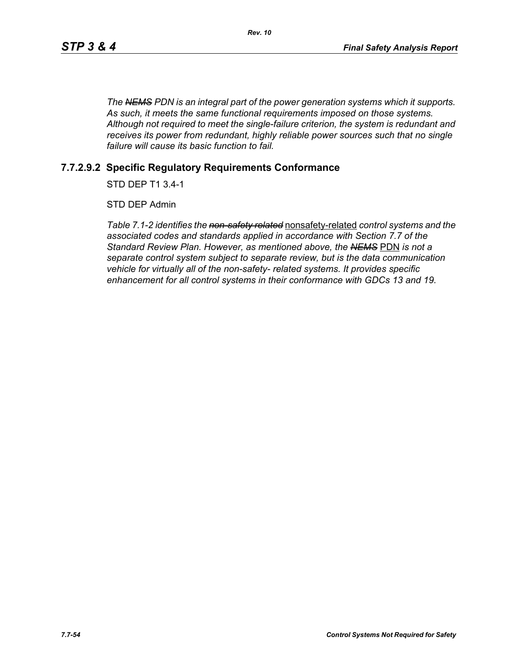*The NEMS PDN is an integral part of the power generation systems which it supports. As such, it meets the same functional requirements imposed on those systems. Although not required to meet the single-failure criterion, the system is redundant and receives its power from redundant, highly reliable power sources such that no single failure will cause its basic function to fail.*

## **7.7.2.9.2 Specific Regulatory Requirements Conformance**

STD DEP T1 3.4-1

STD DEP Admin

*Table 7.1-2 identifies the non-safety related* nonsafety-related *control systems and the associated codes and standards applied in accordance with Section 7.7 of the Standard Review Plan. However, as mentioned above, the NEMS* PDN *is not a separate control system subject to separate review, but is the data communication vehicle for virtually all of the non-safety- related systems. It provides specific enhancement for all control systems in their conformance with GDCs 13 and 19.*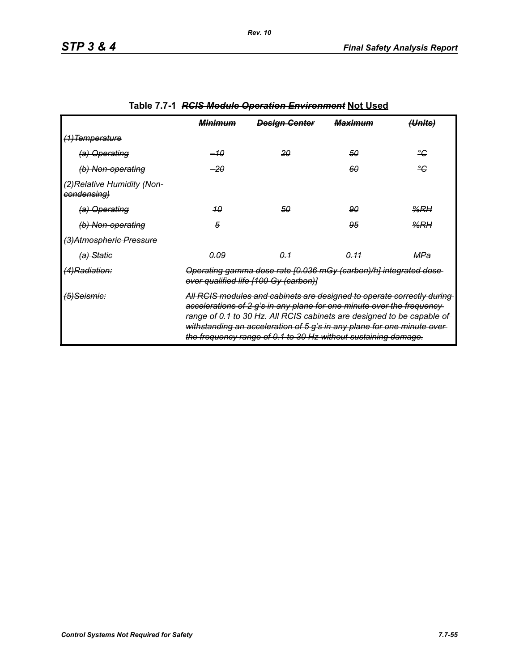|                                            | <b>Minimum</b>                                                                                                                                                                                                                                                                                                                                                           | <b>Design Center</b> | <del>Maximum</del> | <del>(Units)</del> |
|--------------------------------------------|--------------------------------------------------------------------------------------------------------------------------------------------------------------------------------------------------------------------------------------------------------------------------------------------------------------------------------------------------------------------------|----------------------|--------------------|--------------------|
| <del>(1)Temperature</del>                  |                                                                                                                                                                                                                                                                                                                                                                          |                      |                    |                    |
| (a) Operating                              | –10                                                                                                                                                                                                                                                                                                                                                                      | 20                   | 50                 | ீ                  |
| (b) Non-operating                          | -20                                                                                                                                                                                                                                                                                                                                                                      |                      | 60                 | ٩ĉ                 |
| (2) Relative Humidity (Non-<br>condensing) |                                                                                                                                                                                                                                                                                                                                                                          |                      |                    |                    |
| (a) Operating                              | 40                                                                                                                                                                                                                                                                                                                                                                       | 50                   | 90                 | $\frac{9}{6}$ RH   |
| (b) Non-operating                          | 5                                                                                                                                                                                                                                                                                                                                                                        |                      | 95                 | %RH                |
| (3) Atmospheric Pressure                   |                                                                                                                                                                                                                                                                                                                                                                          |                      |                    |                    |
| (a) Statie                                 | <u>0.09</u>                                                                                                                                                                                                                                                                                                                                                              | $\theta - 1$         | 0.11               | MPa                |
| (4)Radiation:                              | Operating gamma dose rate [0.036 mGy (carbon)/h] integrated dose<br>over qualified life [100 Gy (carbon)]                                                                                                                                                                                                                                                                |                      |                    |                    |
| <del>(5)Seismic:</del>                     | All RCIS modules and cabinets are designed to operate correctly during-<br>accelerations of 2 g's in any plane for one minute over the frequency-<br>range of 0.1 to 30 Hz. All RCIS cabinets are designed to be capable of<br>withstanding an acceleration of 5 g's in any plane for one minute over-<br>the frequency range of 0.1 to 30 Hz without sustaining damage. |                      |                    |                    |

# **Table 7.7-1** *RCIS Module Operation Environment* **Not Used**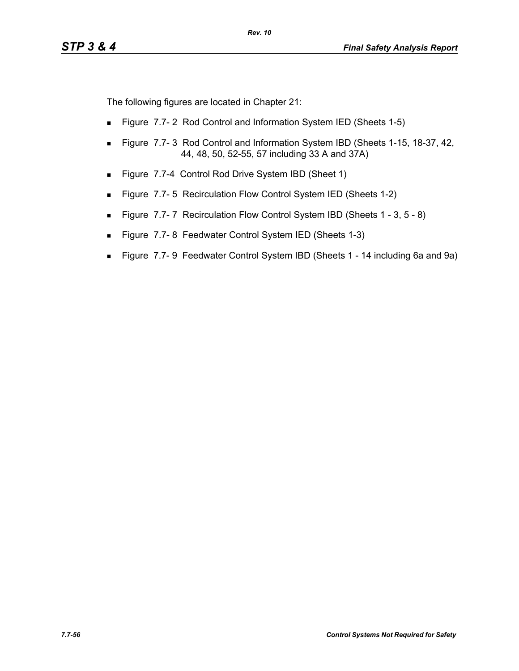The following figures are located in Chapter 21:

- **Figure 7.7-2 Rod Control and Information System IED (Sheets 1-5)**
- **Figure 7.7-3 Rod Control and Information System IBD (Sheets 1-15, 18-37, 42, 40)** 44, 48, 50, 52-55, 57 including 33 A and 37A)
- Figure 7.7-4 Control Rod Drive System IBD (Sheet 1)
- **Figure 7.7-5 Recirculation Flow Control System IED (Sheets 1-2)**
- Figure 7.7-7 Recirculation Flow Control System IBD (Sheets 1 3, 5 8)
- Figure 7.7-8 Feedwater Control System IED (Sheets 1-3)
- Figure 7.7- 9 Feedwater Control System IBD (Sheets 1 14 including 6a and 9a)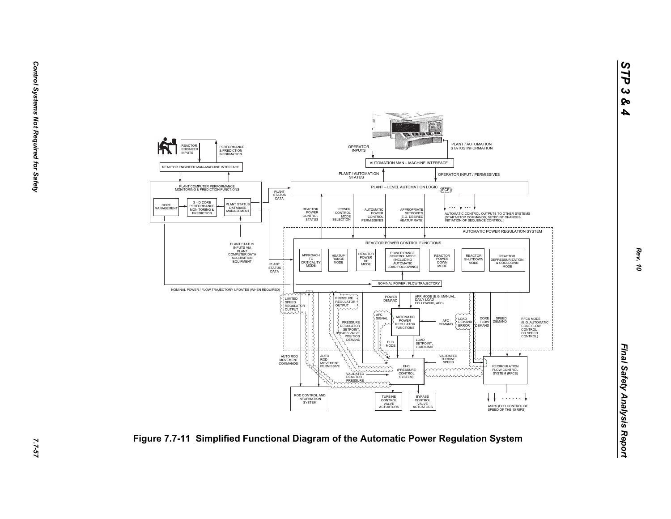

*STP 3 & 4*